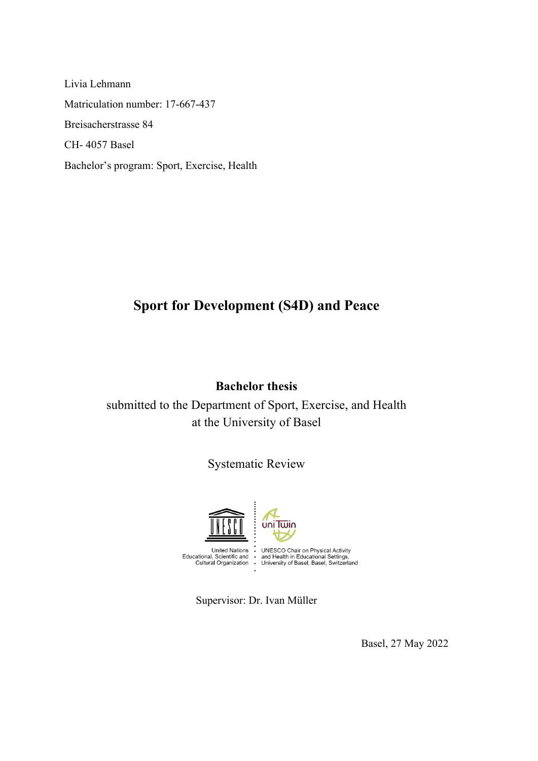Livia Lehmann Matriculation number: 17-667-437 Breisacherstrasse 84 CH- 4057 Basel Bachelor's program: Sport, Exercise, Health

# **Sport for Development (S4D) and Peace**

### **Bachelor thesis**

submitted to the Department of Sport, Exercise, and Health at the University of Basel

# Systematic Review



Supervisor: Dr. Ivan Müller

Basel, 27 May 2022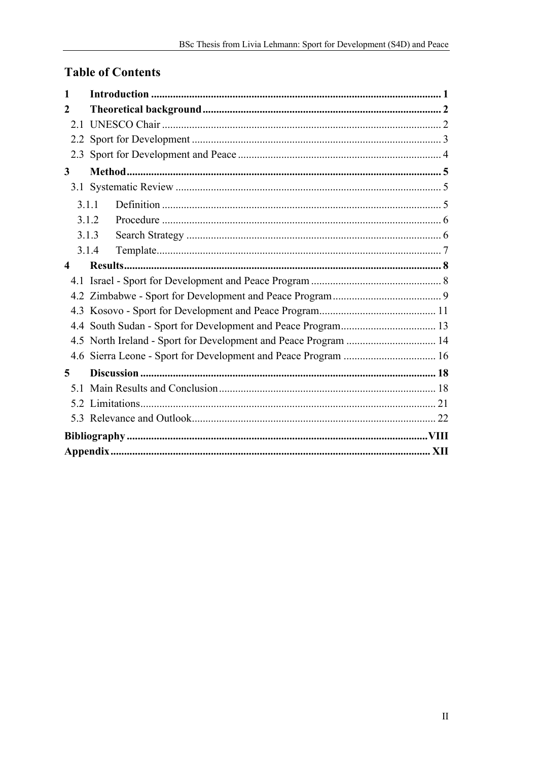# **Table of Contents**

| 1                                                               |  |
|-----------------------------------------------------------------|--|
| 2                                                               |  |
|                                                                 |  |
|                                                                 |  |
|                                                                 |  |
| $\mathbf{3}$                                                    |  |
|                                                                 |  |
| 3.1.1                                                           |  |
| 3.1.2                                                           |  |
| 3.1.3                                                           |  |
| 3.1.4                                                           |  |
| $\boldsymbol{\Lambda}$                                          |  |
|                                                                 |  |
|                                                                 |  |
|                                                                 |  |
|                                                                 |  |
| 4.5 North Ireland - Sport for Development and Peace Program  14 |  |
|                                                                 |  |
| 5                                                               |  |
|                                                                 |  |
|                                                                 |  |
|                                                                 |  |
|                                                                 |  |
|                                                                 |  |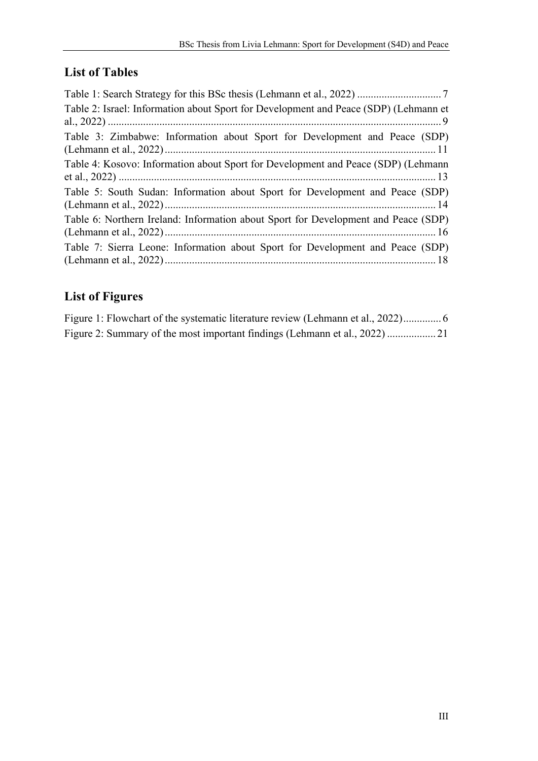# **List of Tables**

| Table 2: Israel: Information about Sport for Development and Peace (SDP) (Lehmann et |
|--------------------------------------------------------------------------------------|
| Table 3: Zimbabwe: Information about Sport for Development and Peace (SDP)           |
| Table 4: Kosovo: Information about Sport for Development and Peace (SDP) (Lehmann    |
| Table 5: South Sudan: Information about Sport for Development and Peace (SDP)        |
| Table 6: Northern Ireland: Information about Sport for Development and Peace (SDP)   |
| Table 7: Sierra Leone: Information about Sport for Development and Peace (SDP)       |

# **List of Figures**

| Figure 1: Flowchart of the systematic literature review (Lehmann et al., 2022) |  |  |
|--------------------------------------------------------------------------------|--|--|
|                                                                                |  |  |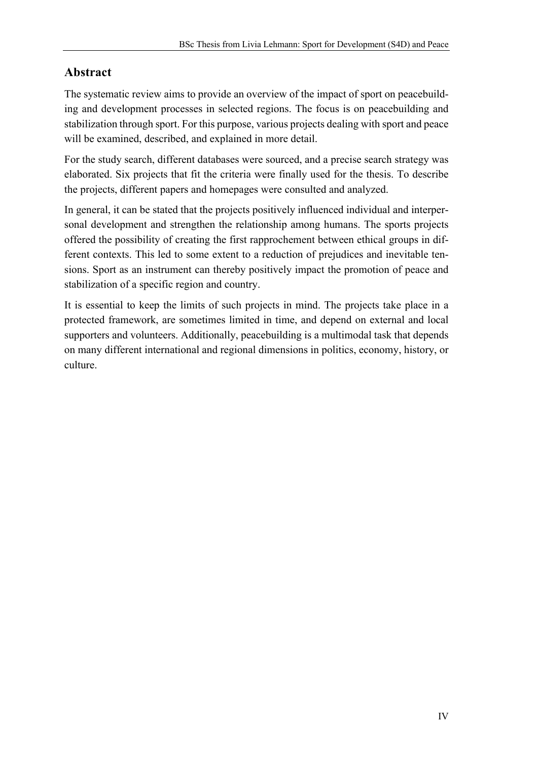# **Abstract**

The systematic review aims to provide an overview of the impact of sport on peacebuilding and development processes in selected regions. The focus is on peacebuilding and stabilization through sport. For this purpose, various projects dealing with sport and peace will be examined, described, and explained in more detail.

For the study search, different databases were sourced, and a precise search strategy was elaborated. Six projects that fit the criteria were finally used for the thesis. To describe the projects, different papers and homepages were consulted and analyzed.

In general, it can be stated that the projects positively influenced individual and interpersonal development and strengthen the relationship among humans. The sports projects offered the possibility of creating the first rapprochement between ethical groups in different contexts. This led to some extent to a reduction of prejudices and inevitable tensions. Sport as an instrument can thereby positively impact the promotion of peace and stabilization of a specific region and country.

It is essential to keep the limits of such projects in mind. The projects take place in a protected framework, are sometimes limited in time, and depend on external and local supporters and volunteers. Additionally, peacebuilding is a multimodal task that depends on many different international and regional dimensions in politics, economy, history, or culture.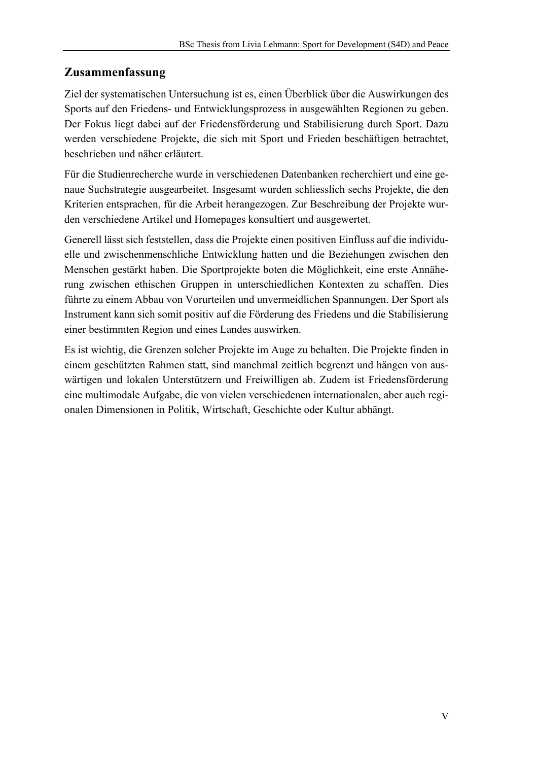# **Zusammenfassung**

Ziel der systematischen Untersuchung ist es, einen Überblick über die Auswirkungen des Sports auf den Friedens- und Entwicklungsprozess in ausgewählten Regionen zu geben. Der Fokus liegt dabei auf der Friedensförderung und Stabilisierung durch Sport. Dazu werden verschiedene Projekte, die sich mit Sport und Frieden beschäftigen betrachtet, beschrieben und näher erläutert.

Für die Studienrecherche wurde in verschiedenen Datenbanken recherchiert und eine genaue Suchstrategie ausgearbeitet. Insgesamt wurden schliesslich sechs Projekte, die den Kriterien entsprachen, für die Arbeit herangezogen. Zur Beschreibung der Projekte wurden verschiedene Artikel und Homepages konsultiert und ausgewertet.

Generell lässt sich feststellen, dass die Projekte einen positiven Einfluss auf die individuelle und zwischenmenschliche Entwicklung hatten und die Beziehungen zwischen den Menschen gestärkt haben. Die Sportprojekte boten die Möglichkeit, eine erste Annäherung zwischen ethischen Gruppen in unterschiedlichen Kontexten zu schaffen. Dies führte zu einem Abbau von Vorurteilen und unvermeidlichen Spannungen. Der Sport als Instrument kann sich somit positiv auf die Förderung des Friedens und die Stabilisierung einer bestimmten Region und eines Landes auswirken.

Es ist wichtig, die Grenzen solcher Projekte im Auge zu behalten. Die Projekte finden in einem geschützten Rahmen statt, sind manchmal zeitlich begrenzt und hängen von auswärtigen und lokalen Unterstützern und Freiwilligen ab. Zudem ist Friedensförderung eine multimodale Aufgabe, die von vielen verschiedenen internationalen, aber auch regionalen Dimensionen in Politik, Wirtschaft, Geschichte oder Kultur abhängt.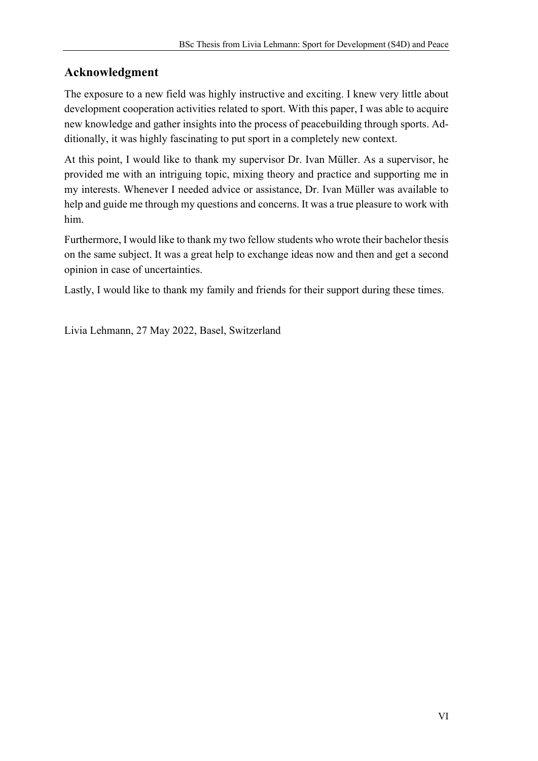# **Acknowledgment**

The exposure to a new field was highly instructive and exciting. I knew very little about development cooperation activities related to sport. With this paper, I was able to acquire new knowledge and gather insights into the process of peacebuilding through sports. Additionally, it was highly fascinating to put sport in a completely new context.

At this point, I would like to thank my supervisor Dr. Ivan Müller. As a supervisor, he provided me with an intriguing topic, mixing theory and practice and supporting me in my interests. Whenever I needed advice or assistance, Dr. Ivan Müller was available to help and guide me through my questions and concerns. It was a true pleasure to work with him.

Furthermore, I would like to thank my two fellow students who wrote their bachelor thesis on the same subject. It was a great help to exchange ideas now and then and get a second opinion in case of uncertainties.

Lastly, I would like to thank my family and friends for their support during these times.

Livia Lehmann, 27 May 2022, Basel, Switzerland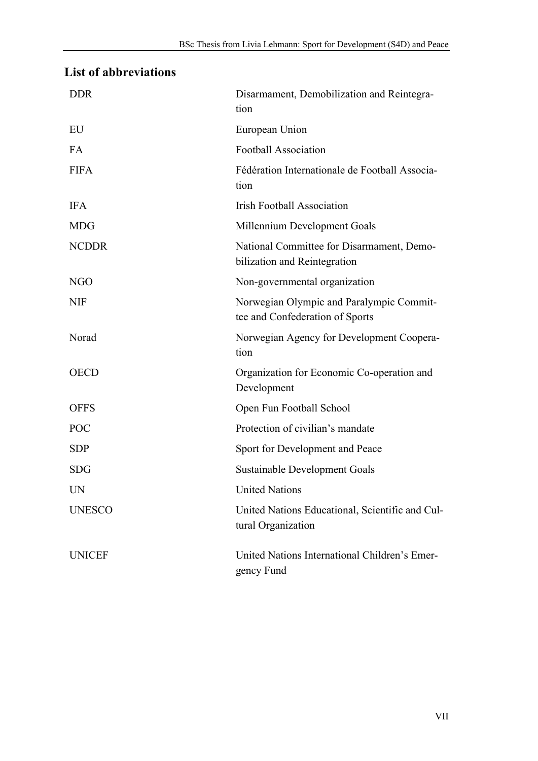# **List of abbreviations**

| <b>DDR</b>    | Disarmament, Demobilization and Reintegra-<br>tion                          |
|---------------|-----------------------------------------------------------------------------|
| EU            | European Union                                                              |
| <b>FA</b>     | <b>Football Association</b>                                                 |
| <b>FIFA</b>   | Fédération Internationale de Football Associa-<br>tion                      |
| <b>IFA</b>    | <b>Irish Football Association</b>                                           |
| <b>MDG</b>    | Millennium Development Goals                                                |
| <b>NCDDR</b>  | National Committee for Disarmament, Demo-<br>bilization and Reintegration   |
| <b>NGO</b>    | Non-governmental organization                                               |
| <b>NIF</b>    | Norwegian Olympic and Paralympic Commit-<br>tee and Confederation of Sports |
| Norad         | Norwegian Agency for Development Coopera-<br>tion                           |
| <b>OECD</b>   | Organization for Economic Co-operation and<br>Development                   |
| <b>OFFS</b>   | Open Fun Football School                                                    |
| POC           | Protection of civilian's mandate                                            |
| <b>SDP</b>    | Sport for Development and Peace                                             |
| <b>SDG</b>    | Sustainable Development Goals                                               |
| UN            | <b>United Nations</b>                                                       |
| <b>UNESCO</b> | United Nations Educational, Scientific and Cul-<br>tural Organization       |
| <b>UNICEF</b> | United Nations International Children's Emer-<br>gency Fund                 |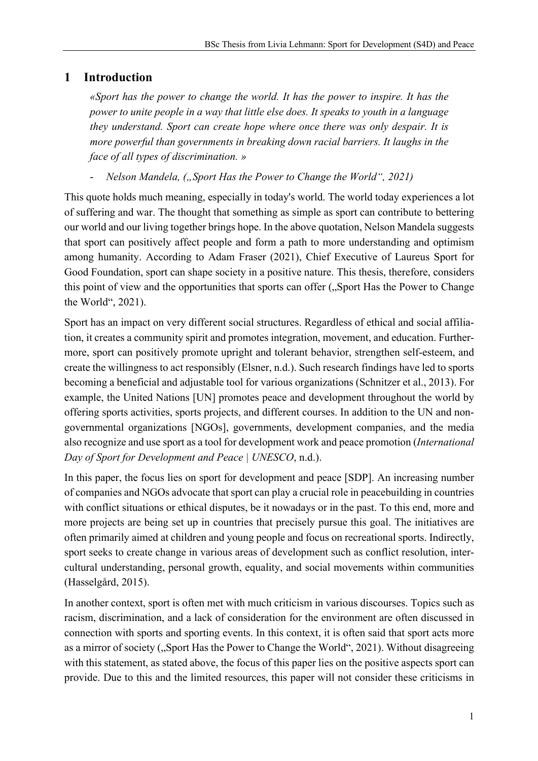# **1 Introduction**

*«Sport has the power to change the world. It has the power to inspire. It has the power to unite people in a way that little else does. It speaks to youth in a language they understand. Sport can create hope where once there was only despair. It is more powerful than governments in breaking down racial barriers. It laughs in the face of all types of discrimination. »*

*Nelson Mandela, ("Sport Has the Power to Change the World", 2021)* 

This quote holds much meaning, especially in today's world. The world today experiences a lot of suffering and war. The thought that something as simple as sport can contribute to bettering our world and our living together brings hope. In the above quotation, Nelson Mandela suggests that sport can positively affect people and form a path to more understanding and optimism among humanity. According to Adam Fraser (2021), Chief Executive of Laureus Sport for Good Foundation, sport can shape society in a positive nature. This thesis, therefore, considers this point of view and the opportunities that sports can offer ("Sport Has the Power to Change the World", 2021).

Sport has an impact on very different social structures. Regardless of ethical and social affiliation, it creates a community spirit and promotes integration, movement, and education. Furthermore, sport can positively promote upright and tolerant behavior, strengthen self-esteem, and create the willingness to act responsibly (Elsner, n.d.). Such research findings have led to sports becoming a beneficial and adjustable tool for various organizations (Schnitzer et al., 2013). For example, the United Nations [UN] promotes peace and development throughout the world by offering sports activities, sports projects, and different courses. In addition to the UN and nongovernmental organizations [NGOs], governments, development companies, and the media also recognize and use sport as a tool for development work and peace promotion (*International Day of Sport for Development and Peace | UNESCO*, n.d.).

In this paper, the focus lies on sport for development and peace [SDP]. An increasing number of companies and NGOs advocate that sport can play a crucial role in peacebuilding in countries with conflict situations or ethical disputes, be it nowadays or in the past. To this end, more and more projects are being set up in countries that precisely pursue this goal. The initiatives are often primarily aimed at children and young people and focus on recreational sports. Indirectly, sport seeks to create change in various areas of development such as conflict resolution, intercultural understanding, personal growth, equality, and social movements within communities (Hasselgård, 2015).

In another context, sport is often met with much criticism in various discourses. Topics such as racism, discrimination, and a lack of consideration for the environment are often discussed in connection with sports and sporting events. In this context, it is often said that sport acts more as a mirror of society ("Sport Has the Power to Change the World", 2021). Without disagreeing with this statement, as stated above, the focus of this paper lies on the positive aspects sport can provide. Due to this and the limited resources, this paper will not consider these criticisms in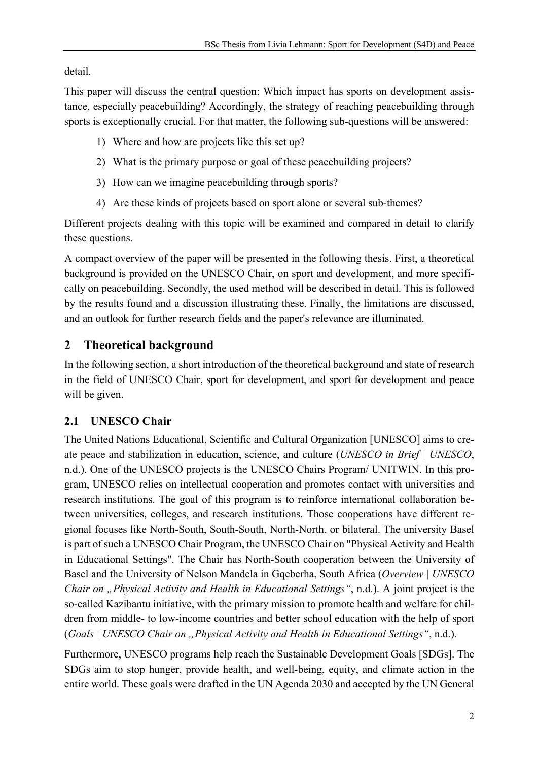detail.

This paper will discuss the central question: Which impact has sports on development assistance, especially peacebuilding? Accordingly, the strategy of reaching peacebuilding through sports is exceptionally crucial. For that matter, the following sub-questions will be answered:

- 1) Where and how are projects like this set up?
- 2) What is the primary purpose or goal of these peacebuilding projects?
- 3) How can we imagine peacebuilding through sports?
- 4) Are these kinds of projects based on sport alone or several sub-themes?

Different projects dealing with this topic will be examined and compared in detail to clarify these questions.

A compact overview of the paper will be presented in the following thesis. First, a theoretical background is provided on the UNESCO Chair, on sport and development, and more specifically on peacebuilding. Secondly, the used method will be described in detail. This is followed by the results found and a discussion illustrating these. Finally, the limitations are discussed, and an outlook for further research fields and the paper's relevance are illuminated.

# **2 Theoretical background**

In the following section, a short introduction of the theoretical background and state of research in the field of UNESCO Chair, sport for development, and sport for development and peace will be given.

# **2.1 UNESCO Chair**

The United Nations Educational, Scientific and Cultural Organization [UNESCO] aims to create peace and stabilization in education, science, and culture (*UNESCO in Brief | UNESCO*, n.d.). One of the UNESCO projects is the UNESCO Chairs Program/ UNITWIN. In this program, UNESCO relies on intellectual cooperation and promotes contact with universities and research institutions. The goal of this program is to reinforce international collaboration between universities, colleges, and research institutions. Those cooperations have different regional focuses like North-South, South-South, North-North, or bilateral. The university Basel is part of such a UNESCO Chair Program, the UNESCO Chair on "Physical Activity and Health in Educational Settings". The Chair has North-South cooperation between the University of Basel and the University of Nelson Mandela in Gqeberha, South Africa (*Overview | UNESCO Chair on "Physical Activity and Health in Educational Settings"*, n.d.). A joint project is the so-called Kazibantu initiative, with the primary mission to promote health and welfare for children from middle- to low-income countries and better school education with the help of sport (*Goals | UNESCO Chair on "Physical Activity and Health in Educational Settings"*, n.d.).

Furthermore, UNESCO programs help reach the Sustainable Development Goals [SDGs]. The SDGs aim to stop hunger, provide health, and well-being, equity, and climate action in the entire world. These goals were drafted in the UN Agenda 2030 and accepted by the UN General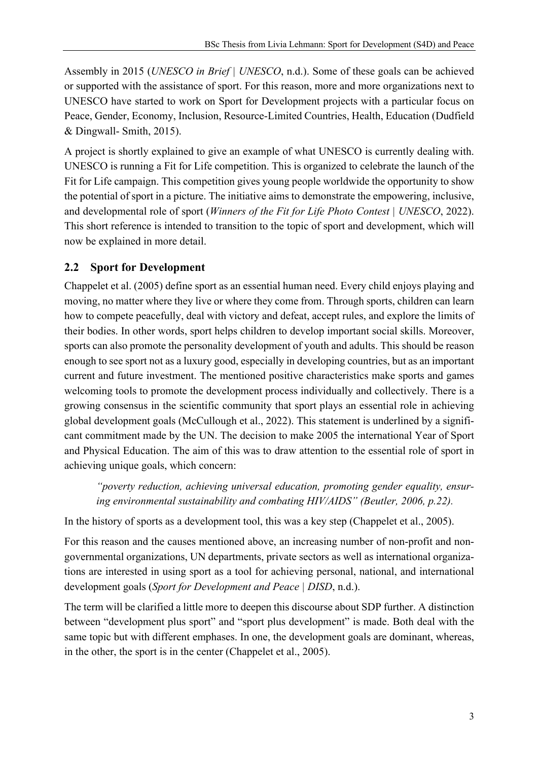Assembly in 2015 (*UNESCO in Brief | UNESCO*, n.d.). Some of these goals can be achieved or supported with the assistance of sport. For this reason, more and more organizations next to UNESCO have started to work on Sport for Development projects with a particular focus on Peace, Gender, Economy, Inclusion, Resource-Limited Countries, Health, Education (Dudfield & Dingwall- Smith, 2015).

A project is shortly explained to give an example of what UNESCO is currently dealing with. UNESCO is running a Fit for Life competition. This is organized to celebrate the launch of the Fit for Life campaign. This competition gives young people worldwide the opportunity to show the potential of sport in a picture. The initiative aims to demonstrate the empowering, inclusive, and developmental role of sport (*Winners of the Fit for Life Photo Contest | UNESCO*, 2022). This short reference is intended to transition to the topic of sport and development, which will now be explained in more detail.

# **2.2 Sport for Development**

Chappelet et al. (2005) define sport as an essential human need. Every child enjoys playing and moving, no matter where they live or where they come from. Through sports, children can learn how to compete peacefully, deal with victory and defeat, accept rules, and explore the limits of their bodies. In other words, sport helps children to develop important social skills. Moreover, sports can also promote the personality development of youth and adults. This should be reason enough to see sport not as a luxury good, especially in developing countries, but as an important current and future investment. The mentioned positive characteristics make sports and games welcoming tools to promote the development process individually and collectively. There is a growing consensus in the scientific community that sport plays an essential role in achieving global development goals (McCullough et al., 2022). This statement is underlined by a significant commitment made by the UN. The decision to make 2005 the international Year of Sport and Physical Education. The aim of this was to draw attention to the essential role of sport in achieving unique goals, which concern:

*"poverty reduction, achieving universal education, promoting gender equality, ensuring environmental sustainability and combating HIV/AIDS" (Beutler, 2006, p.22).*

In the history of sports as a development tool, this was a key step (Chappelet et al., 2005).

For this reason and the causes mentioned above, an increasing number of non-profit and nongovernmental organizations, UN departments, private sectors as well as international organizations are interested in using sport as a tool for achieving personal, national, and international development goals (*Sport for Development and Peace | DISD*, n.d.).

The term will be clarified a little more to deepen this discourse about SDP further. A distinction between "development plus sport" and "sport plus development" is made. Both deal with the same topic but with different emphases. In one, the development goals are dominant, whereas, in the other, the sport is in the center (Chappelet et al., 2005).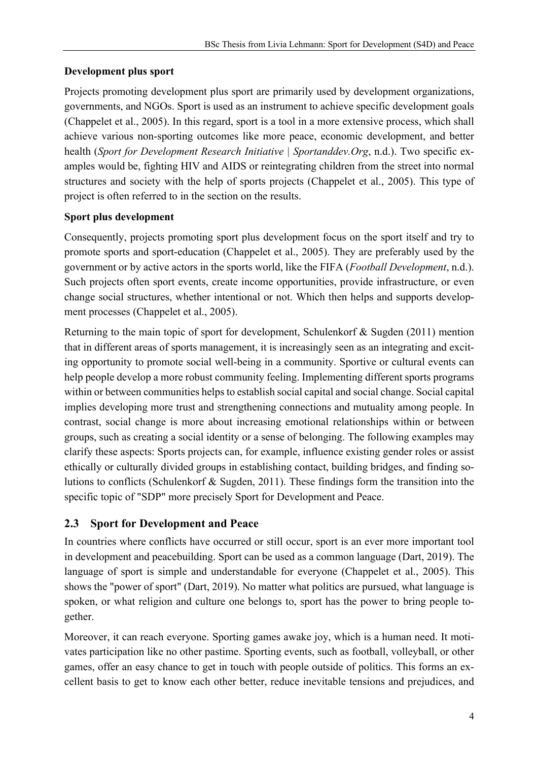#### **Development plus sport**

Projects promoting development plus sport are primarily used by development organizations, governments, and NGOs. Sport is used as an instrument to achieve specific development goals (Chappelet et al., 2005). In this regard, sport is a tool in a more extensive process, which shall achieve various non-sporting outcomes like more peace, economic development, and better health (*Sport for Development Research Initiative | Sportanddev.Org*, n.d.). Two specific examples would be, fighting HIV and AIDS or reintegrating children from the street into normal structures and society with the help of sports projects (Chappelet et al., 2005). This type of project is often referred to in the section on the results.

#### **Sport plus development**

Consequently, projects promoting sport plus development focus on the sport itself and try to promote sports and sport-education (Chappelet et al., 2005). They are preferably used by the government or by active actors in the sports world, like the FIFA (*Football Development*, n.d.). Such projects often sport events, create income opportunities, provide infrastructure, or even change social structures, whether intentional or not. Which then helps and supports development processes (Chappelet et al., 2005).

Returning to the main topic of sport for development, Schulenkorf & Sugden (2011) mention that in different areas of sports management, it is increasingly seen as an integrating and exciting opportunity to promote social well-being in a community. Sportive or cultural events can help people develop a more robust community feeling. Implementing different sports programs within or between communities helps to establish social capital and social change. Social capital implies developing more trust and strengthening connections and mutuality among people. In contrast, social change is more about increasing emotional relationships within or between groups, such as creating a social identity or a sense of belonging. The following examples may clarify these aspects: Sports projects can, for example, influence existing gender roles or assist ethically or culturally divided groups in establishing contact, building bridges, and finding solutions to conflicts (Schulenkorf & Sugden, 2011). These findings form the transition into the specific topic of "SDP" more precisely Sport for Development and Peace.

#### **2.3 Sport for Development and Peace**

In countries where conflicts have occurred or still occur, sport is an ever more important tool in development and peacebuilding. Sport can be used as a common language (Dart, 2019). The language of sport is simple and understandable for everyone (Chappelet et al., 2005). This shows the "power of sport" (Dart, 2019). No matter what politics are pursued, what language is spoken, or what religion and culture one belongs to, sport has the power to bring people together.

Moreover, it can reach everyone. Sporting games awake joy, which is a human need. It motivates participation like no other pastime. Sporting events, such as football, volleyball, or other games, offer an easy chance to get in touch with people outside of politics. This forms an excellent basis to get to know each other better, reduce inevitable tensions and prejudices, and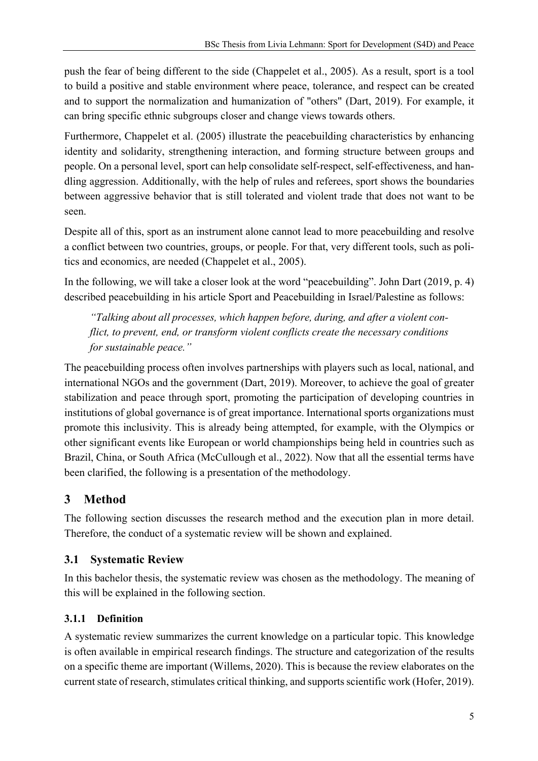push the fear of being different to the side (Chappelet et al., 2005). As a result, sport is a tool to build a positive and stable environment where peace, tolerance, and respect can be created and to support the normalization and humanization of "others" (Dart, 2019). For example, it can bring specific ethnic subgroups closer and change views towards others.

Furthermore, Chappelet et al. (2005) illustrate the peacebuilding characteristics by enhancing identity and solidarity, strengthening interaction, and forming structure between groups and people. On a personal level, sport can help consolidate self-respect, self-effectiveness, and handling aggression. Additionally, with the help of rules and referees, sport shows the boundaries between aggressive behavior that is still tolerated and violent trade that does not want to be seen.

Despite all of this, sport as an instrument alone cannot lead to more peacebuilding and resolve a conflict between two countries, groups, or people. For that, very different tools, such as politics and economics, are needed (Chappelet et al., 2005).

In the following, we will take a closer look at the word "peacebuilding". John Dart (2019, p. 4) described peacebuilding in his article Sport and Peacebuilding in Israel/Palestine as follows:

*"Talking about all processes, which happen before, during, and after a violent conflict, to prevent, end, or transform violent conflicts create the necessary conditions for sustainable peace."*

The peacebuilding process often involves partnerships with players such as local, national, and international NGOs and the government (Dart, 2019). Moreover, to achieve the goal of greater stabilization and peace through sport, promoting the participation of developing countries in institutions of global governance is of great importance. International sports organizations must promote this inclusivity. This is already being attempted, for example, with the Olympics or other significant events like European or world championships being held in countries such as Brazil, China, or South Africa (McCullough et al., 2022). Now that all the essential terms have been clarified, the following is a presentation of the methodology.

# **3 Method**

The following section discusses the research method and the execution plan in more detail. Therefore, the conduct of a systematic review will be shown and explained.

# **3.1 Systematic Review**

In this bachelor thesis, the systematic review was chosen as the methodology. The meaning of this will be explained in the following section.

# **3.1.1 Definition**

A systematic review summarizes the current knowledge on a particular topic. This knowledge is often available in empirical research findings. The structure and categorization of the results on a specific theme are important (Willems, 2020). This is because the review elaborates on the current state of research, stimulates critical thinking, and supports scientific work (Hofer, 2019).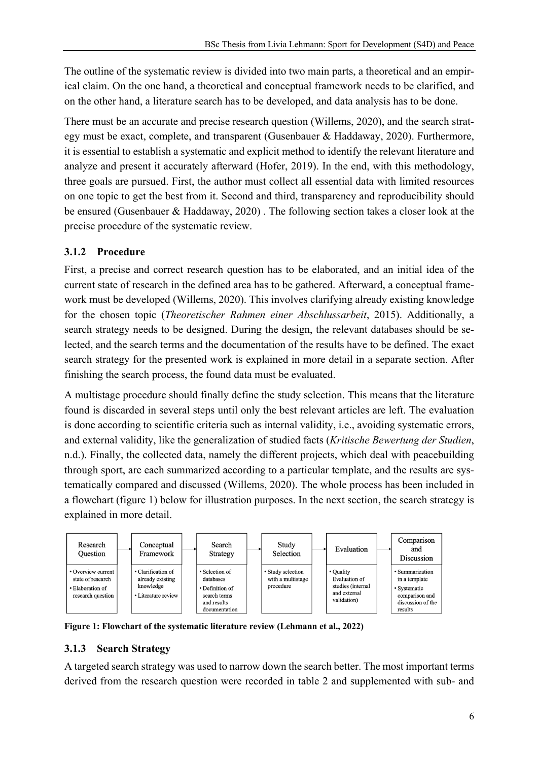The outline of the systematic review is divided into two main parts, a theoretical and an empirical claim. On the one hand, a theoretical and conceptual framework needs to be clarified, and on the other hand, a literature search has to be developed, and data analysis has to be done.

There must be an accurate and precise research question (Willems, 2020), and the search strategy must be exact, complete, and transparent (Gusenbauer & Haddaway, 2020). Furthermore, it is essential to establish a systematic and explicit method to identify the relevant literature and analyze and present it accurately afterward (Hofer, 2019). In the end, with this methodology, three goals are pursued. First, the author must collect all essential data with limited resources on one topic to get the best from it. Second and third, transparency and reproducibility should be ensured (Gusenbauer & Haddaway, 2020) . The following section takes a closer look at the precise procedure of the systematic review.

#### **3.1.2 Procedure**

First, a precise and correct research question has to be elaborated, and an initial idea of the current state of research in the defined area has to be gathered. Afterward, a conceptual framework must be developed (Willems, 2020). This involves clarifying already existing knowledge for the chosen topic (*Theoretischer Rahmen einer Abschlussarbeit*, 2015). Additionally, a search strategy needs to be designed. During the design, the relevant databases should be selected, and the search terms and the documentation of the results have to be defined. The exact search strategy for the presented work is explained in more detail in a separate section. After finishing the search process, the found data must be evaluated.

A multistage procedure should finally define the study selection. This means that the literature found is discarded in several steps until only the best relevant articles are left. The evaluation is done according to scientific criteria such as internal validity, i.e., avoiding systematic errors, and external validity, like the generalization of studied facts (*Kritische Bewertung der Studien*, n.d.). Finally, the collected data, namely the different projects, which deal with peacebuilding through sport, are each summarized according to a particular template, and the results are systematically compared and discussed (Willems, 2020). The whole process has been included in a flowchart (figure 1) below for illustration purposes. In the next section, the search strategy is explained in more detail.



**Figure 1: Flowchart of the systematic literature review (Lehmann et al., 2022)**

#### **3.1.3 Search Strategy**

A targeted search strategy was used to narrow down the search better. The most important terms derived from the research question were recorded in table 2 and supplemented with sub- and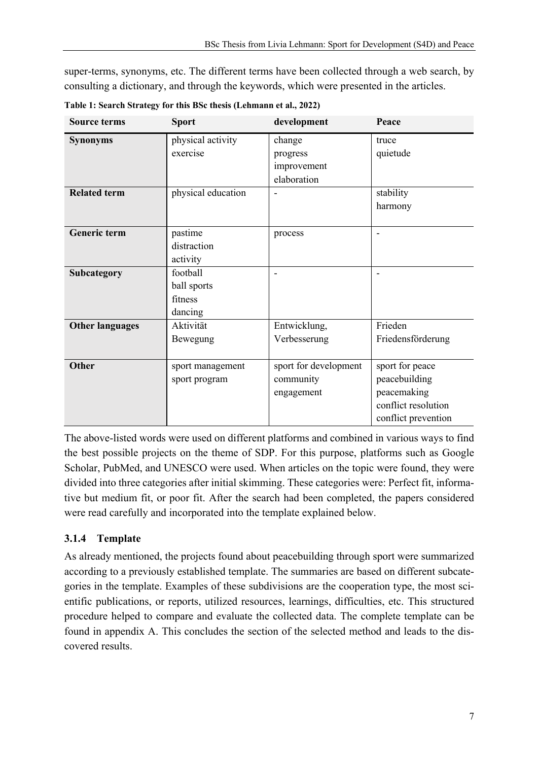super-terms, synonyms, etc. The different terms have been collected through a web search, by consulting a dictionary, and through the keywords, which were presented in the articles.

| <b>Source terms</b>    | <b>Sport</b>       | development              | Peace               |
|------------------------|--------------------|--------------------------|---------------------|
| <b>Synonyms</b>        | physical activity  | change                   | truce               |
|                        | exercise           | progress                 | quietude            |
|                        |                    | improvement              |                     |
|                        |                    | elaboration              |                     |
| <b>Related term</b>    | physical education | ۰                        | stability           |
|                        |                    |                          | harmony             |
|                        |                    |                          |                     |
| <b>Generic term</b>    | pastime            | process                  | $\blacksquare$      |
|                        | distraction        |                          |                     |
|                        | activity           |                          |                     |
| Subcategory            | football           | $\overline{\phantom{0}}$ |                     |
|                        | ball sports        |                          |                     |
|                        | fitness            |                          |                     |
|                        | dancing            |                          |                     |
| <b>Other languages</b> | Aktivität          | Entwicklung,             | Frieden             |
|                        | Bewegung           | Verbesserung             | Friedensförderung   |
|                        |                    |                          |                     |
| <b>Other</b>           | sport management   | sport for development    | sport for peace     |
|                        | sport program      | community                | peacebuilding       |
|                        |                    | engagement               | peacemaking         |
|                        |                    |                          | conflict resolution |
|                        |                    |                          | conflict prevention |

**Table 1: Search Strategy for this BSc thesis (Lehmann et al., 2022)**

The above-listed words were used on different platforms and combined in various ways to find the best possible projects on the theme of SDP. For this purpose, platforms such as Google Scholar, PubMed, and UNESCO were used. When articles on the topic were found, they were divided into three categories after initial skimming. These categories were: Perfect fit, informative but medium fit, or poor fit. After the search had been completed, the papers considered were read carefully and incorporated into the template explained below.

#### **3.1.4 Template**

As already mentioned, the projects found about peacebuilding through sport were summarized according to a previously established template. The summaries are based on different subcategories in the template. Examples of these subdivisions are the cooperation type, the most scientific publications, or reports, utilized resources, learnings, difficulties, etc. This structured procedure helped to compare and evaluate the collected data. The complete template can be found in appendix A. This concludes the section of the selected method and leads to the discovered results.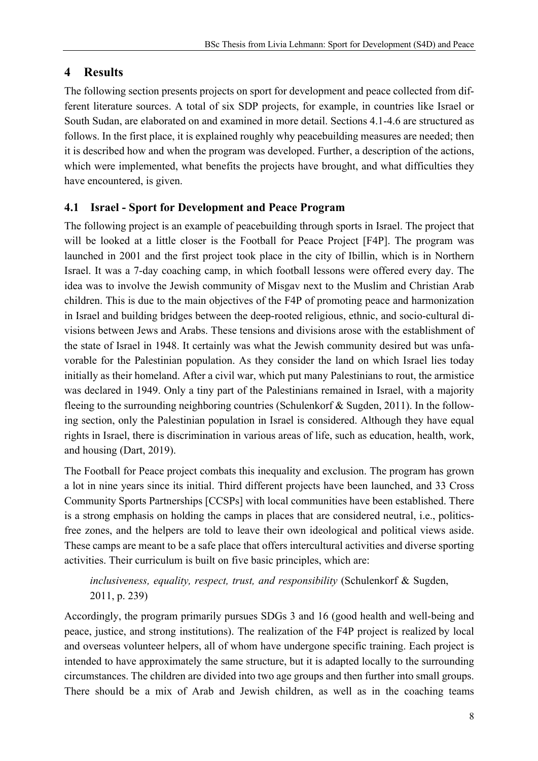# **4 Results**

The following section presents projects on sport for development and peace collected from different literature sources. A total of six SDP projects, for example, in countries like Israel or South Sudan, are elaborated on and examined in more detail. Sections 4.1-4.6 are structured as follows. In the first place, it is explained roughly why peacebuilding measures are needed; then it is described how and when the program was developed. Further, a description of the actions, which were implemented, what benefits the projects have brought, and what difficulties they have encountered, is given.

# **4.1 Israel - Sport for Development and Peace Program**

The following project is an example of peacebuilding through sports in Israel. The project that will be looked at a little closer is the Football for Peace Project [F4P]. The program was launched in 2001 and the first project took place in the city of Ibillin, which is in Northern Israel. It was a 7-day coaching camp, in which football lessons were offered every day. The idea was to involve the Jewish community of Misgav next to the Muslim and Christian Arab children. This is due to the main objectives of the F4P of promoting peace and harmonization in Israel and building bridges between the deep-rooted religious, ethnic, and socio-cultural divisions between Jews and Arabs. These tensions and divisions arose with the establishment of the state of Israel in 1948. It certainly was what the Jewish community desired but was unfavorable for the Palestinian population. As they consider the land on which Israel lies today initially as their homeland. After a civil war, which put many Palestinians to rout, the armistice was declared in 1949. Only a tiny part of the Palestinians remained in Israel, with a majority fleeing to the surrounding neighboring countries (Schulenkorf & Sugden, 2011). In the following section, only the Palestinian population in Israel is considered. Although they have equal rights in Israel, there is discrimination in various areas of life, such as education, health, work, and housing (Dart, 2019).

The Football for Peace project combats this inequality and exclusion. The program has grown a lot in nine years since its initial. Third different projects have been launched, and 33 Cross Community Sports Partnerships [CCSPs] with local communities have been established. There is a strong emphasis on holding the camps in places that are considered neutral, i.e., politicsfree zones, and the helpers are told to leave their own ideological and political views aside. These camps are meant to be a safe place that offers intercultural activities and diverse sporting activities. Their curriculum is built on five basic principles, which are:

*inclusiveness, equality, respect, trust, and responsibility* (Schulenkorf & Sugden, 2011, p. 239)

Accordingly, the program primarily pursues SDGs 3 and 16 (good health and well-being and peace, justice, and strong institutions). The realization of the F4P project is realized by local and overseas volunteer helpers, all of whom have undergone specific training. Each project is intended to have approximately the same structure, but it is adapted locally to the surrounding circumstances. The children are divided into two age groups and then further into small groups. There should be a mix of Arab and Jewish children, as well as in the coaching teams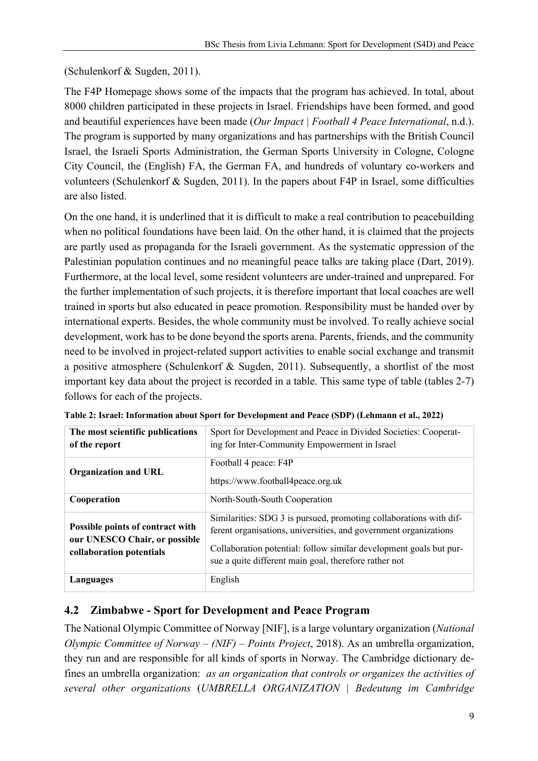(Schulenkorf & Sugden, 2011).

The F4P Homepage shows some of the impacts that the program has achieved. In total, about 8000 children participated in these projects in Israel. Friendships have been formed, and good and beautiful experiences have been made (*Our Impact | Football 4 Peace International*, n.d.). The program is supported by many organizations and has partnerships with the British Council Israel, the Israeli Sports Administration, the German Sports University in Cologne, Cologne City Council, the (English) FA, the German FA, and hundreds of voluntary co-workers and volunteers (Schulenkorf & Sugden, 2011). In the papers about F4P in Israel, some difficulties are also listed.

On the one hand, it is underlined that it is difficult to make a real contribution to peacebuilding when no political foundations have been laid. On the other hand, it is claimed that the projects are partly used as propaganda for the Israeli government. As the systematic oppression of the Palestinian population continues and no meaningful peace talks are taking place (Dart, 2019). Furthermore, at the local level, some resident volunteers are under-trained and unprepared. For the further implementation of such projects, it is therefore important that local coaches are well trained in sports but also educated in peace promotion. Responsibility must be handed over by international experts. Besides, the whole community must be involved. To really achieve social development, work has to be done beyond the sports arena. Parents, friends, and the community need to be involved in project-related support activities to enable social exchange and transmit a positive atmosphere (Schulenkorf & Sugden, 2011). Subsequently, a shortlist of the most important key data about the project is recorded in a table. This same type of table (tables 2-7) follows for each of the projects.

| The most scientific publications<br>of the report                                             | Sport for Development and Peace in Divided Societies: Cooperat-<br>ing for Inter-Community Empowerment in Israel                                                                                                                                                      |
|-----------------------------------------------------------------------------------------------|-----------------------------------------------------------------------------------------------------------------------------------------------------------------------------------------------------------------------------------------------------------------------|
| <b>Organization and URL</b>                                                                   | Football 4 peace: F4P<br>https://www.football4peace.org.uk                                                                                                                                                                                                            |
| Cooperation                                                                                   | North-South-South Cooperation                                                                                                                                                                                                                                         |
| Possible points of contract with<br>our UNESCO Chair, or possible<br>collaboration potentials | Similarities: SDG 3 is pursued, promoting collaborations with dif-<br>ferent organisations, universities, and government organizations<br>Collaboration potential: follow similar development goals but pur-<br>sue a quite different main goal, therefore rather not |
| Languages                                                                                     | English                                                                                                                                                                                                                                                               |

**Table 2: Israel: Information about Sport for Development and Peace (SDP) (Lehmann et al., 2022)**

#### **4.2 Zimbabwe - Sport for Development and Peace Program**

The National Olympic Committee of Norway [NIF], is a large voluntary organization (*National Olympic Committee of Norway – (NIF) – Points Project*, 2018). As an umbrella organization, they run and are responsible for all kinds of sports in Norway. The Cambridge dictionary defines an umbrella organization: *as an organization that controls or organizes the activities of several other organizations* (*UMBRELLA ORGANIZATION | Bedeutung im Cambridge*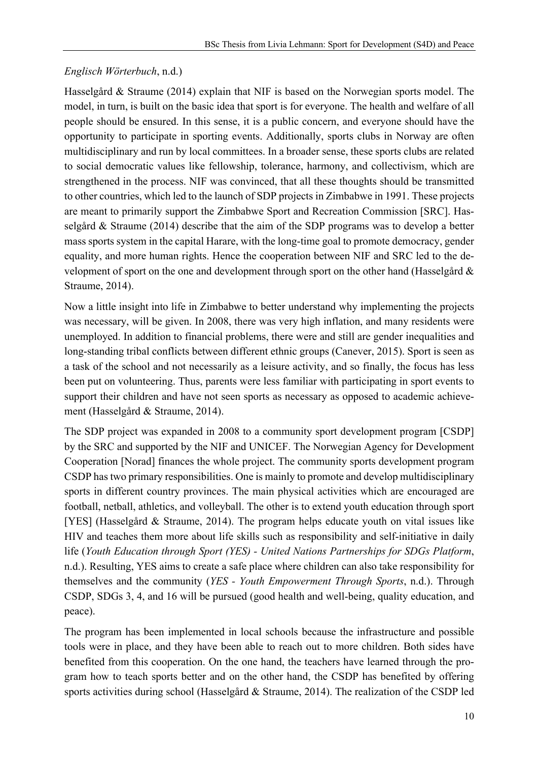#### *Englisch Wörterbuch*, n.d.)

Hasselgård & Straume (2014) explain that NIF is based on the Norwegian sports model. The model, in turn, is built on the basic idea that sport is for everyone. The health and welfare of all people should be ensured. In this sense, it is a public concern, and everyone should have the opportunity to participate in sporting events. Additionally, sports clubs in Norway are often multidisciplinary and run by local committees. In a broader sense, these sports clubs are related to social democratic values like fellowship, tolerance, harmony, and collectivism, which are strengthened in the process. NIF was convinced, that all these thoughts should be transmitted to other countries, which led to the launch of SDP projects in Zimbabwe in 1991. These projects are meant to primarily support the Zimbabwe Sport and Recreation Commission [SRC]. Hasselgård & Straume (2014) describe that the aim of the SDP programs was to develop a better mass sports system in the capital Harare, with the long-time goal to promote democracy, gender equality, and more human rights. Hence the cooperation between NIF and SRC led to the development of sport on the one and development through sport on the other hand (Hasselgård & Straume, 2014).

Now a little insight into life in Zimbabwe to better understand why implementing the projects was necessary, will be given. In 2008, there was very high inflation, and many residents were unemployed. In addition to financial problems, there were and still are gender inequalities and long-standing tribal conflicts between different ethnic groups (Canever, 2015). Sport is seen as a task of the school and not necessarily as a leisure activity, and so finally, the focus has less been put on volunteering. Thus, parents were less familiar with participating in sport events to support their children and have not seen sports as necessary as opposed to academic achievement (Hasselgård & Straume, 2014).

The SDP project was expanded in 2008 to a community sport development program [CSDP] by the SRC and supported by the NIF and UNICEF. The Norwegian Agency for Development Cooperation [Norad] finances the whole project. The community sports development program CSDP has two primary responsibilities. One is mainly to promote and develop multidisciplinary sports in different country provinces. The main physical activities which are encouraged are football, netball, athletics, and volleyball. The other is to extend youth education through sport [YES] (Hasselgård & Straume, 2014). The program helps educate youth on vital issues like HIV and teaches them more about life skills such as responsibility and self-initiative in daily life (*Youth Education through Sport (YES) - United Nations Partnerships for SDGs Platform*, n.d.). Resulting, YES aims to create a safe place where children can also take responsibility for themselves and the community (*YES - Youth Empowerment Through Sports*, n.d.). Through CSDP, SDGs 3, 4, and 16 will be pursued (good health and well-being, quality education, and peace).

The program has been implemented in local schools because the infrastructure and possible tools were in place, and they have been able to reach out to more children. Both sides have benefited from this cooperation. On the one hand, the teachers have learned through the program how to teach sports better and on the other hand, the CSDP has benefited by offering sports activities during school (Hasselgård & Straume, 2014). The realization of the CSDP led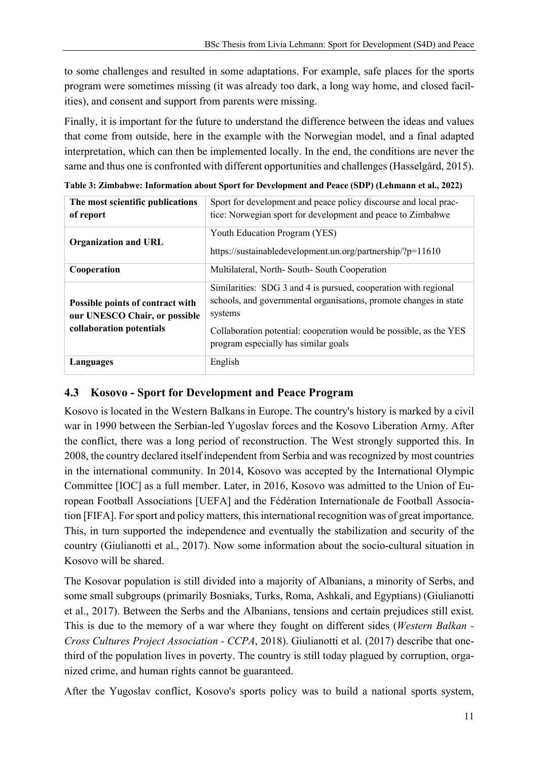to some challenges and resulted in some adaptations. For example, safe places for the sports program were sometimes missing (it was already too dark, a long way home, and closed facilities), and consent and support from parents were missing.

Finally, it is important for the future to understand the difference between the ideas and values that come from outside, here in the example with the Norwegian model, and a final adapted interpretation, which can then be implemented locally. In the end, the conditions are never the same and thus one is confronted with different opportunities and challenges (Hasselgård, 2015).

**Table 3: Zimbabwe: Information about Sport for Development and Peace (SDP) (Lehmann et al., 2022) The most scientific publications**  Sport for development and peace policy discourse and local prac**of report** tice: Norwegian sport for development and peace to Zimbabwe

| of report                                                                                     | tice: Norwegian sport for development and peace to Zimbabwe                                                                                                                                                                                                   |
|-----------------------------------------------------------------------------------------------|---------------------------------------------------------------------------------------------------------------------------------------------------------------------------------------------------------------------------------------------------------------|
| <b>Organization and URL</b>                                                                   | Youth Education Program (YES)<br>https://sustainabledevelopment.un.org/partnership/?p=11610                                                                                                                                                                   |
| Cooperation                                                                                   | Multilateral, North-South-South Cooperation                                                                                                                                                                                                                   |
| Possible points of contract with<br>our UNESCO Chair, or possible<br>collaboration potentials | Similarities: SDG 3 and 4 is pursued, cooperation with regional<br>schools, and governmental organisations, promote changes in state<br>systems<br>Collaboration potential: cooperation would be possible, as the YES<br>program especially has similar goals |
| Languages                                                                                     | English                                                                                                                                                                                                                                                       |

#### **4.3 Kosovo - Sport for Development and Peace Program**

Kosovo is located in the Western Balkans in Europe. The country's history is marked by a civil war in 1990 between the Serbian-led Yugoslav forces and the Kosovo Liberation Army. After the conflict, there was a long period of reconstruction. The West strongly supported this. In 2008, the country declared itself independent from Serbia and was recognized by most countries in the international community. In 2014, Kosovo was accepted by the International Olympic Committee [IOC] as a full member. Later, in 2016, Kosovo was admitted to the Union of European Football Associations [UEFA] and the Fédération Internationale de Football Association [FIFA]. For sport and policy matters, this international recognition was of great importance. This, in turn supported the independence and eventually the stabilization and security of the country (Giulianotti et al., 2017). Now some information about the socio-cultural situation in Kosovo will be shared.

The Kosovar population is still divided into a majority of Albanians, a minority of Serbs, and some small subgroups (primarily Bosniaks, Turks, Roma, Ashkali, and Egyptians) (Giulianotti et al., 2017). Between the Serbs and the Albanians, tensions and certain prejudices still exist. This is due to the memory of a war where they fought on different sides (*Western Balkan - Cross Cultures Project Association - CCPA*, 2018). Giulianotti et al. (2017) describe that onethird of the population lives in poverty. The country is still today plagued by corruption, organized crime, and human rights cannot be guaranteed.

After the Yugoslav conflict, Kosovo's sports policy was to build a national sports system,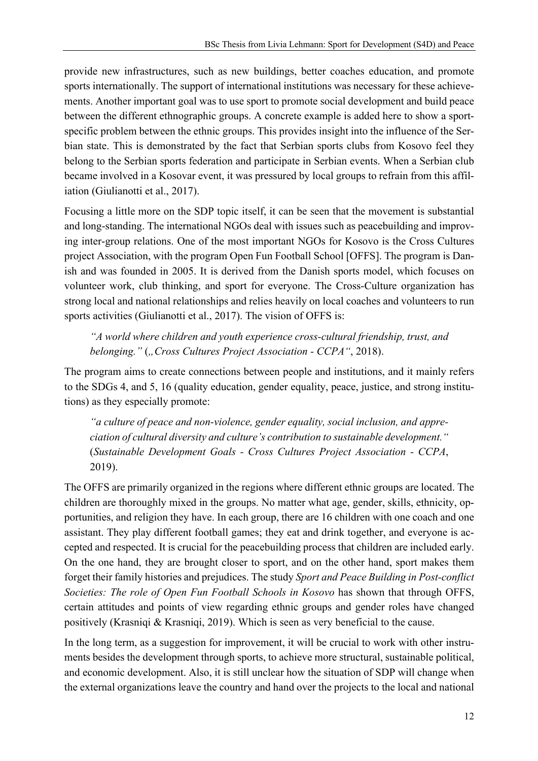provide new infrastructures, such as new buildings, better coaches education, and promote sports internationally. The support of international institutions was necessary for these achievements. Another important goal was to use sport to promote social development and build peace between the different ethnographic groups. A concrete example is added here to show a sportspecific problem between the ethnic groups. This provides insight into the influence of the Serbian state. This is demonstrated by the fact that Serbian sports clubs from Kosovo feel they belong to the Serbian sports federation and participate in Serbian events. When a Serbian club became involved in a Kosovar event, it was pressured by local groups to refrain from this affiliation (Giulianotti et al., 2017).

Focusing a little more on the SDP topic itself, it can be seen that the movement is substantial and long-standing. The international NGOs deal with issues such as peacebuilding and improving inter-group relations. One of the most important NGOs for Kosovo is the Cross Cultures project Association, with the program Open Fun Football School [OFFS]. The program is Danish and was founded in 2005. It is derived from the Danish sports model, which focuses on volunteer work, club thinking, and sport for everyone. The Cross-Culture organization has strong local and national relationships and relies heavily on local coaches and volunteers to run sports activities (Giulianotti et al., 2017). The vision of OFFS is:

*"A world where children and youth experience cross-cultural friendship, trust, and belonging.*" (*"Cross Cultures Project Association - CCPA"*, 2018).

The program aims to create connections between people and institutions, and it mainly refers to the SDGs 4, and 5, 16 (quality education, gender equality, peace, justice, and strong institutions) as they especially promote:

*"a culture of peace and non-violence, gender equality, social inclusion, and appreciation of cultural diversity and culture's contribution to sustainable development."* (*Sustainable Development Goals - Cross Cultures Project Association - CCPA*, 2019).

The OFFS are primarily organized in the regions where different ethnic groups are located. The children are thoroughly mixed in the groups. No matter what age, gender, skills, ethnicity, opportunities, and religion they have. In each group, there are 16 children with one coach and one assistant. They play different football games; they eat and drink together, and everyone is accepted and respected. It is crucial for the peacebuilding process that children are included early. On the one hand, they are brought closer to sport, and on the other hand, sport makes them forget their family histories and prejudices. The study *Sport and Peace Building in Post-conflict Societies: The role of Open Fun Football Schools in Kosovo* has shown that through OFFS, certain attitudes and points of view regarding ethnic groups and gender roles have changed positively (Krasniqi & Krasniqi, 2019). Which is seen as very beneficial to the cause.

In the long term, as a suggestion for improvement, it will be crucial to work with other instruments besides the development through sports, to achieve more structural, sustainable political, and economic development. Also, it is still unclear how the situation of SDP will change when the external organizations leave the country and hand over the projects to the local and national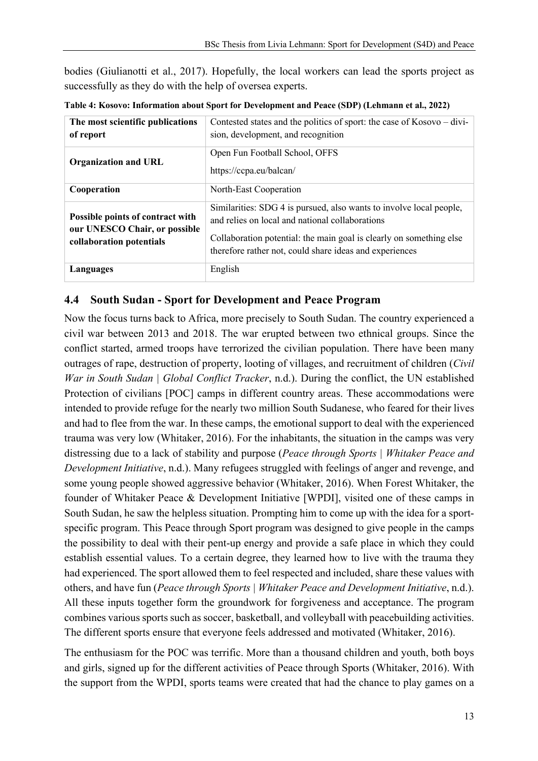bodies (Giulianotti et al., 2017). Hopefully, the local workers can lead the sports project as successfully as they do with the help of oversea experts.

| The most scientific publications<br>of report                                                 | Contested states and the politics of sport: the case of Kosovo – divi-<br>sion, development, and recognition                                                                                                                                             |
|-----------------------------------------------------------------------------------------------|----------------------------------------------------------------------------------------------------------------------------------------------------------------------------------------------------------------------------------------------------------|
| <b>Organization and URL</b>                                                                   | Open Fun Football School, OFFS<br>https://ccpa.eu/balcan/                                                                                                                                                                                                |
| Cooperation                                                                                   | North-East Cooperation                                                                                                                                                                                                                                   |
| Possible points of contract with<br>our UNESCO Chair, or possible<br>collaboration potentials | Similarities: SDG 4 is pursued, also wants to involve local people,<br>and relies on local and national collaborations<br>Collaboration potential: the main goal is clearly on something else<br>therefore rather not, could share ideas and experiences |
| Languages                                                                                     | English                                                                                                                                                                                                                                                  |

**Table 4: Kosovo: Information about Sport for Development and Peace (SDP) (Lehmann et al., 2022)**

#### **4.4 South Sudan - Sport for Development and Peace Program**

Now the focus turns back to Africa, more precisely to South Sudan. The country experienced a civil war between 2013 and 2018. The war erupted between two ethnical groups. Since the conflict started, armed troops have terrorized the civilian population. There have been many outrages of rape, destruction of property, looting of villages, and recruitment of children (*Civil War in South Sudan | Global Conflict Tracker*, n.d.). During the conflict, the UN established Protection of civilians [POC] camps in different country areas. These accommodations were intended to provide refuge for the nearly two million South Sudanese, who feared for their lives and had to flee from the war. In these camps, the emotional support to deal with the experienced trauma was very low (Whitaker, 2016). For the inhabitants, the situation in the camps was very distressing due to a lack of stability and purpose (*Peace through Sports | Whitaker Peace and Development Initiative*, n.d.). Many refugees struggled with feelings of anger and revenge, and some young people showed aggressive behavior (Whitaker, 2016). When Forest Whitaker, the founder of Whitaker Peace & Development Initiative [WPDI], visited one of these camps in South Sudan, he saw the helpless situation. Prompting him to come up with the idea for a sportspecific program. This Peace through Sport program was designed to give people in the camps the possibility to deal with their pent-up energy and provide a safe place in which they could establish essential values. To a certain degree, they learned how to live with the trauma they had experienced. The sport allowed them to feel respected and included, share these values with others, and have fun (*Peace through Sports | Whitaker Peace and Development Initiative*, n.d.). All these inputs together form the groundwork for forgiveness and acceptance. The program combines various sports such as soccer, basketball, and volleyball with peacebuilding activities. The different sports ensure that everyone feels addressed and motivated (Whitaker, 2016).

The enthusiasm for the POC was terrific. More than a thousand children and youth, both boys and girls, signed up for the different activities of Peace through Sports (Whitaker, 2016). With the support from the WPDI, sports teams were created that had the chance to play games on a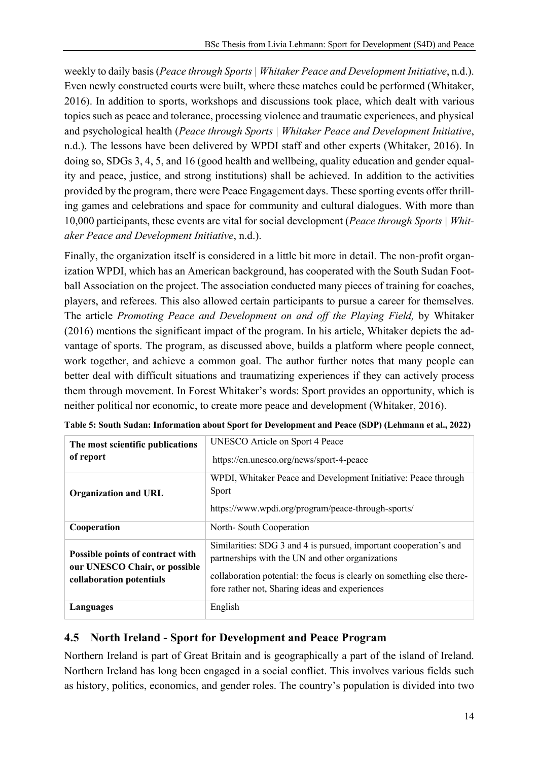weekly to daily basis (*Peace through Sports | Whitaker Peace and Development Initiative*, n.d.). Even newly constructed courts were built, where these matches could be performed (Whitaker, 2016). In addition to sports, workshops and discussions took place, which dealt with various topics such as peace and tolerance, processing violence and traumatic experiences, and physical and psychological health (*Peace through Sports | Whitaker Peace and Development Initiative*, n.d.). The lessons have been delivered by WPDI staff and other experts (Whitaker, 2016). In doing so, SDGs 3, 4, 5, and 16 (good health and wellbeing, quality education and gender equality and peace, justice, and strong institutions) shall be achieved. In addition to the activities provided by the program, there were Peace Engagement days. These sporting events offer thrilling games and celebrations and space for community and cultural dialogues. With more than 10,000 participants, these events are vital for social development (*Peace through Sports | Whitaker Peace and Development Initiative*, n.d.).

Finally, the organization itself is considered in a little bit more in detail. The non-profit organization WPDI, which has an American background, has cooperated with the South Sudan Football Association on the project. The association conducted many pieces of training for coaches, players, and referees. This also allowed certain participants to pursue a career for themselves. The article *Promoting Peace and Development on and off the Playing Field,* by Whitaker (2016) mentions the significant impact of the program. In his article, Whitaker depicts the advantage of sports. The program, as discussed above, builds a platform where people connect, work together, and achieve a common goal. The author further notes that many people can better deal with difficult situations and traumatizing experiences if they can actively process them through movement. In Forest Whitaker's words: Sport provides an opportunity, which is neither political nor economic, to create more peace and development (Whitaker, 2016).

| The most scientific publications<br>of report                                                 | UNESCO Article on Sport 4 Peace<br>https://en.unesco.org/news/sport-4-peace                                                                                                                                                                       |
|-----------------------------------------------------------------------------------------------|---------------------------------------------------------------------------------------------------------------------------------------------------------------------------------------------------------------------------------------------------|
| <b>Organization and URL</b>                                                                   | WPDI, Whitaker Peace and Development Initiative: Peace through<br><b>Sport</b><br>https://www.wpdi.org/program/peace-through-sports/                                                                                                              |
| Cooperation                                                                                   | North-South Cooperation                                                                                                                                                                                                                           |
| Possible points of contract with<br>our UNESCO Chair, or possible<br>collaboration potentials | Similarities: SDG 3 and 4 is pursued, important cooperation's and<br>partnerships with the UN and other organizations<br>collaboration potential: the focus is clearly on something else there-<br>fore rather not, Sharing ideas and experiences |
| Languages                                                                                     | English                                                                                                                                                                                                                                           |

|  |  | Table 5: South Sudan: Information about Sport for Development and Peace (SDP) (Lehmann et al., 2022) |
|--|--|------------------------------------------------------------------------------------------------------|
|--|--|------------------------------------------------------------------------------------------------------|

# **4.5 North Ireland - Sport for Development and Peace Program**

Northern Ireland is part of Great Britain and is geographically a part of the island of Ireland. Northern Ireland has long been engaged in a social conflict. This involves various fields such as history, politics, economics, and gender roles. The country's population is divided into two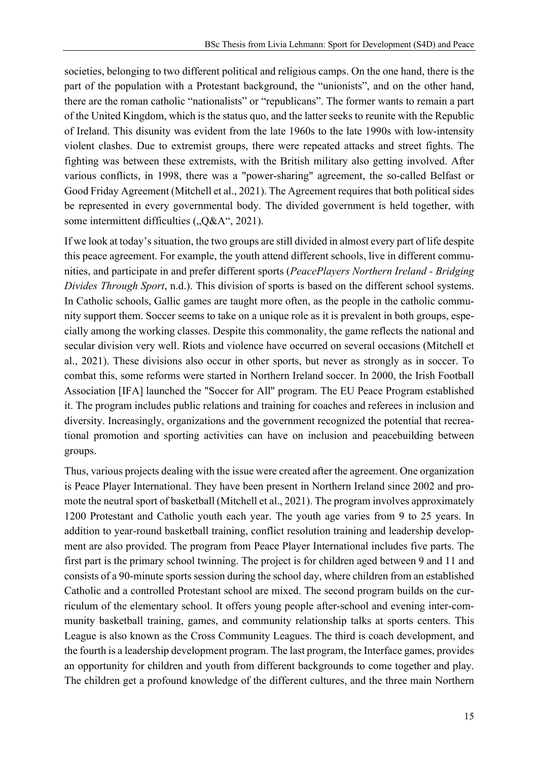societies, belonging to two different political and religious camps. On the one hand, there is the part of the population with a Protestant background, the "unionists", and on the other hand, there are the roman catholic "nationalists" or "republicans". The former wants to remain a part of the United Kingdom, which is the status quo, and the latter seeks to reunite with the Republic of Ireland. This disunity was evident from the late 1960s to the late 1990s with low-intensity violent clashes. Due to extremist groups, there were repeated attacks and street fights. The fighting was between these extremists, with the British military also getting involved. After various conflicts, in 1998, there was a "power-sharing" agreement, the so-called Belfast or Good Friday Agreement (Mitchell et al., 2021). The Agreement requires that both political sides be represented in every governmental body. The divided government is held together, with some intermittent difficulties  $(0.08A^4, 2021)$ .

If we look at today's situation, the two groups are still divided in almost every part of life despite this peace agreement. For example, the youth attend different schools, live in different communities, and participate in and prefer different sports (*PeacePlayers Northern Ireland - Bridging Divides Through Sport*, n.d.). This division of sports is based on the different school systems. In Catholic schools, Gallic games are taught more often, as the people in the catholic community support them. Soccer seems to take on a unique role as it is prevalent in both groups, especially among the working classes. Despite this commonality, the game reflects the national and secular division very well. Riots and violence have occurred on several occasions (Mitchell et al., 2021). These divisions also occur in other sports, but never as strongly as in soccer. To combat this, some reforms were started in Northern Ireland soccer. In 2000, the Irish Football Association [IFA] launched the "Soccer for All" program. The EU Peace Program established it. The program includes public relations and training for coaches and referees in inclusion and diversity. Increasingly, organizations and the government recognized the potential that recreational promotion and sporting activities can have on inclusion and peacebuilding between groups.

Thus, various projects dealing with the issue were created after the agreement. One organization is Peace Player International. They have been present in Northern Ireland since 2002 and promote the neutral sport of basketball (Mitchell et al., 2021). The program involves approximately 1200 Protestant and Catholic youth each year. The youth age varies from 9 to 25 years. In addition to year-round basketball training, conflict resolution training and leadership development are also provided. The program from Peace Player International includes five parts. The first part is the primary school twinning. The project is for children aged between 9 and 11 and consists of a 90-minute sports session during the school day, where children from an established Catholic and a controlled Protestant school are mixed. The second program builds on the curriculum of the elementary school. It offers young people after-school and evening inter-community basketball training, games, and community relationship talks at sports centers. This League is also known as the Cross Community Leagues. The third is coach development, and the fourth is a leadership development program. The last program, the Interface games, provides an opportunity for children and youth from different backgrounds to come together and play. The children get a profound knowledge of the different cultures, and the three main Northern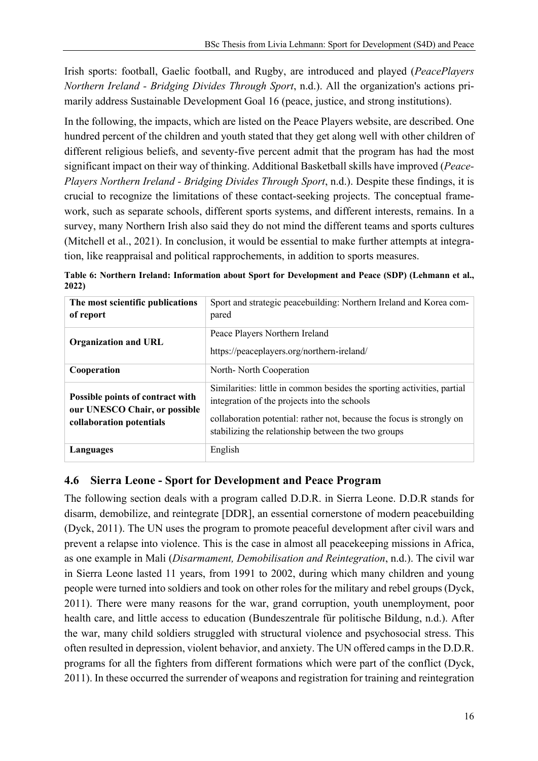Irish sports: football, Gaelic football, and Rugby, are introduced and played (*PeacePlayers Northern Ireland - Bridging Divides Through Sport*, n.d.). All the organization's actions primarily address Sustainable Development Goal 16 (peace, justice, and strong institutions).

In the following, the impacts, which are listed on the Peace Players website, are described. One hundred percent of the children and youth stated that they get along well with other children of different religious beliefs, and seventy-five percent admit that the program has had the most significant impact on their way of thinking. Additional Basketball skills have improved (*Peace-Players Northern Ireland - Bridging Divides Through Sport*, n.d.). Despite these findings, it is crucial to recognize the limitations of these contact-seeking projects. The conceptual framework, such as separate schools, different sports systems, and different interests, remains. In a survey, many Northern Irish also said they do not mind the different teams and sports cultures (Mitchell et al., 2021). In conclusion, it would be essential to make further attempts at integration, like reappraisal and political rapprochements, in addition to sports measures.

|       |  | Table 6: Northern Ireland: Information about Sport for Development and Peace (SDP) (Lehmann et al., |  |
|-------|--|-----------------------------------------------------------------------------------------------------|--|
| 2022) |  |                                                                                                     |  |

| The most scientific publications<br>of report                                                 | Sport and strategic peacebuilding: Northern Ireland and Korea com-<br>pared                                                                                                                                                                             |
|-----------------------------------------------------------------------------------------------|---------------------------------------------------------------------------------------------------------------------------------------------------------------------------------------------------------------------------------------------------------|
| <b>Organization and URL</b>                                                                   | Peace Players Northern Ireland<br>https://peaceplayers.org/northern-ireland/                                                                                                                                                                            |
| Cooperation                                                                                   | North-North Cooperation                                                                                                                                                                                                                                 |
| Possible points of contract with<br>our UNESCO Chair, or possible<br>collaboration potentials | Similarities: little in common besides the sporting activities, partial<br>integration of the projects into the schools<br>collaboration potential: rather not, because the focus is strongly on<br>stabilizing the relationship between the two groups |
| Languages                                                                                     | English                                                                                                                                                                                                                                                 |

# **4.6 Sierra Leone - Sport for Development and Peace Program**

The following section deals with a program called D.D.R. in Sierra Leone. D.D.R stands for disarm, demobilize, and reintegrate [DDR], an essential cornerstone of modern peacebuilding (Dyck, 2011). The UN uses the program to promote peaceful development after civil wars and prevent a relapse into violence. This is the case in almost all peacekeeping missions in Africa, as one example in Mali (*Disarmament, Demobilisation and Reintegration*, n.d.). The civil war in Sierra Leone lasted 11 years, from 1991 to 2002, during which many children and young people were turned into soldiers and took on other roles for the military and rebel groups (Dyck, 2011). There were many reasons for the war, grand corruption, youth unemployment, poor health care, and little access to education (Bundeszentrale für politische Bildung, n.d.). After the war, many child soldiers struggled with structural violence and psychosocial stress. This often resulted in depression, violent behavior, and anxiety. The UN offered camps in the D.D.R. programs for all the fighters from different formations which were part of the conflict (Dyck, 2011). In these occurred the surrender of weapons and registration for training and reintegration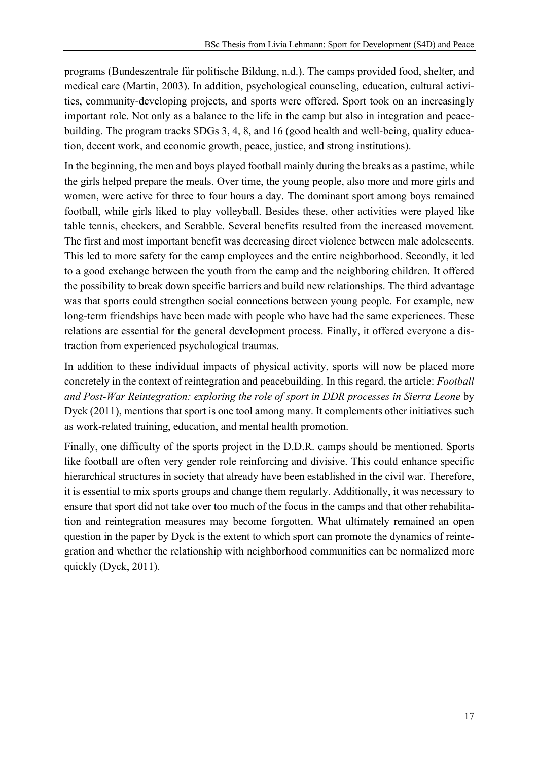programs (Bundeszentrale für politische Bildung, n.d.). The camps provided food, shelter, and medical care (Martin, 2003). In addition, psychological counseling, education, cultural activities, community-developing projects, and sports were offered. Sport took on an increasingly important role. Not only as a balance to the life in the camp but also in integration and peacebuilding. The program tracks SDGs 3, 4, 8, and 16 (good health and well-being, quality education, decent work, and economic growth, peace, justice, and strong institutions).

In the beginning, the men and boys played football mainly during the breaks as a pastime, while the girls helped prepare the meals. Over time, the young people, also more and more girls and women, were active for three to four hours a day. The dominant sport among boys remained football, while girls liked to play volleyball. Besides these, other activities were played like table tennis, checkers, and Scrabble. Several benefits resulted from the increased movement. The first and most important benefit was decreasing direct violence between male adolescents. This led to more safety for the camp employees and the entire neighborhood. Secondly, it led to a good exchange between the youth from the camp and the neighboring children. It offered the possibility to break down specific barriers and build new relationships. The third advantage was that sports could strengthen social connections between young people. For example, new long-term friendships have been made with people who have had the same experiences. These relations are essential for the general development process. Finally, it offered everyone a distraction from experienced psychological traumas.

In addition to these individual impacts of physical activity, sports will now be placed more concretely in the context of reintegration and peacebuilding. In this regard, the article: *Football and Post-War Reintegration: exploring the role of sport in DDR processes in Sierra Leone* by Dyck (2011), mentions that sport is one tool among many. It complements other initiatives such as work-related training, education, and mental health promotion.

Finally, one difficulty of the sports project in the D.D.R. camps should be mentioned. Sports like football are often very gender role reinforcing and divisive. This could enhance specific hierarchical structures in society that already have been established in the civil war. Therefore, it is essential to mix sports groups and change them regularly. Additionally, it was necessary to ensure that sport did not take over too much of the focus in the camps and that other rehabilitation and reintegration measures may become forgotten. What ultimately remained an open question in the paper by Dyck is the extent to which sport can promote the dynamics of reintegration and whether the relationship with neighborhood communities can be normalized more quickly (Dyck, 2011).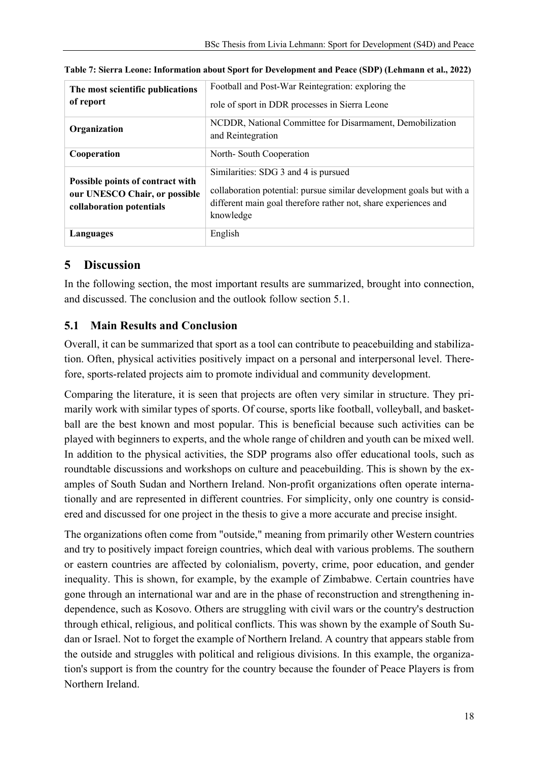| The most scientific publications<br>of report                                                 | Football and Post-War Reintegration: exploring the<br>role of sport in DDR processes in Sierra Leone                                                                                         |  |
|-----------------------------------------------------------------------------------------------|----------------------------------------------------------------------------------------------------------------------------------------------------------------------------------------------|--|
| Organization                                                                                  | NCDDR, National Committee for Disarmament, Demobilization<br>and Reintegration                                                                                                               |  |
| Cooperation                                                                                   | North-South Cooperation                                                                                                                                                                      |  |
| Possible points of contract with<br>our UNESCO Chair, or possible<br>collaboration potentials | Similarities: SDG 3 and 4 is pursued<br>collaboration potential: pursue similar development goals but with a<br>different main goal therefore rather not, share experiences and<br>knowledge |  |
| Languages                                                                                     | English                                                                                                                                                                                      |  |

| Table 7: Sierra Leone: Information about Sport for Development and Peace (SDP) (Lehmann et al., 2022) |  |  |  |  |
|-------------------------------------------------------------------------------------------------------|--|--|--|--|
|-------------------------------------------------------------------------------------------------------|--|--|--|--|

# **5 Discussion**

In the following section, the most important results are summarized, brought into connection, and discussed. The conclusion and the outlook follow section 5.1.

# **5.1 Main Results and Conclusion**

Overall, it can be summarized that sport as a tool can contribute to peacebuilding and stabilization. Often, physical activities positively impact on a personal and interpersonal level. Therefore, sports-related projects aim to promote individual and community development.

Comparing the literature, it is seen that projects are often very similar in structure. They primarily work with similar types of sports. Of course, sports like football, volleyball, and basketball are the best known and most popular. This is beneficial because such activities can be played with beginners to experts, and the whole range of children and youth can be mixed well. In addition to the physical activities, the SDP programs also offer educational tools, such as roundtable discussions and workshops on culture and peacebuilding. This is shown by the examples of South Sudan and Northern Ireland. Non-profit organizations often operate internationally and are represented in different countries. For simplicity, only one country is considered and discussed for one project in the thesis to give a more accurate and precise insight.

The organizations often come from "outside," meaning from primarily other Western countries and try to positively impact foreign countries, which deal with various problems. The southern or eastern countries are affected by colonialism, poverty, crime, poor education, and gender inequality. This is shown, for example, by the example of Zimbabwe. Certain countries have gone through an international war and are in the phase of reconstruction and strengthening independence, such as Kosovo. Others are struggling with civil wars or the country's destruction through ethical, religious, and political conflicts. This was shown by the example of South Sudan or Israel. Not to forget the example of Northern Ireland. A country that appears stable from the outside and struggles with political and religious divisions. In this example, the organization's support is from the country for the country because the founder of Peace Players is from Northern Ireland.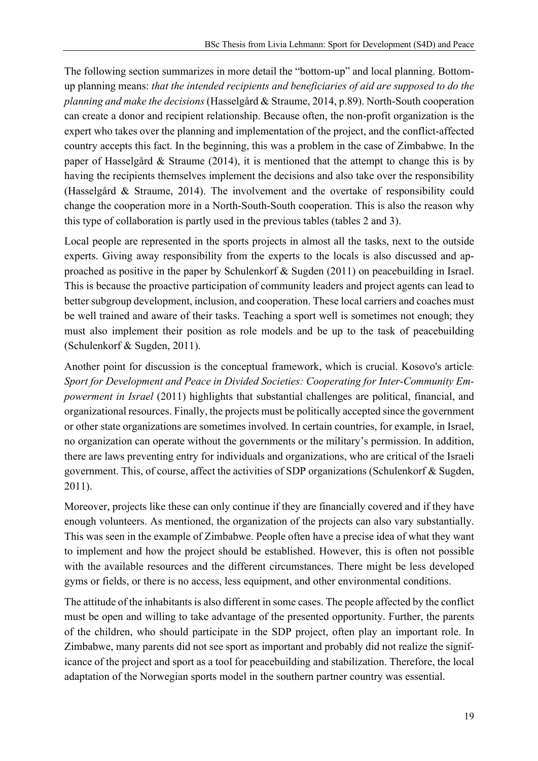The following section summarizes in more detail the "bottom-up" and local planning. Bottomup planning means: *that the intended recipients and beneficiaries of aid are supposed to do the planning and make the decisions* (Hasselgård & Straume, 2014, p.89). North-South cooperation can create a donor and recipient relationship. Because often, the non-profit organization is the expert who takes over the planning and implementation of the project, and the conflict-affected country accepts this fact. In the beginning, this was a problem in the case of Zimbabwe. In the paper of Hasselgård & Straume (2014), it is mentioned that the attempt to change this is by having the recipients themselves implement the decisions and also take over the responsibility (Hasselgård & Straume, 2014). The involvement and the overtake of responsibility could change the cooperation more in a North-South-South cooperation. This is also the reason why this type of collaboration is partly used in the previous tables (tables 2 and 3).

Local people are represented in the sports projects in almost all the tasks, next to the outside experts. Giving away responsibility from the experts to the locals is also discussed and approached as positive in the paper by Schulenkorf & Sugden (2011) on peacebuilding in Israel. This is because the proactive participation of community leaders and project agents can lead to better subgroup development, inclusion, and cooperation. These local carriers and coaches must be well trained and aware of their tasks. Teaching a sport well is sometimes not enough; they must also implement their position as role models and be up to the task of peacebuilding (Schulenkorf & Sugden, 2011).

Another point for discussion is the conceptual framework, which is crucial. Kosovo's article: *Sport for Development and Peace in Divided Societies: Cooperating for Inter-Community Empowerment in Israel* (2011) highlights that substantial challenges are political, financial, and organizational resources. Finally, the projects must be politically accepted since the government or other state organizations are sometimes involved. In certain countries, for example, in Israel, no organization can operate without the governments or the military's permission. In addition, there are laws preventing entry for individuals and organizations, who are critical of the Israeli government. This, of course, affect the activities of SDP organizations (Schulenkorf & Sugden, 2011).

Moreover, projects like these can only continue if they are financially covered and if they have enough volunteers. As mentioned, the organization of the projects can also vary substantially. This was seen in the example of Zimbabwe. People often have a precise idea of what they want to implement and how the project should be established. However, this is often not possible with the available resources and the different circumstances. There might be less developed gyms or fields, or there is no access, less equipment, and other environmental conditions.

The attitude of the inhabitants is also different in some cases. The people affected by the conflict must be open and willing to take advantage of the presented opportunity. Further, the parents of the children, who should participate in the SDP project, often play an important role. In Zimbabwe, many parents did not see sport as important and probably did not realize the significance of the project and sport as a tool for peacebuilding and stabilization. Therefore, the local adaptation of the Norwegian sports model in the southern partner country was essential.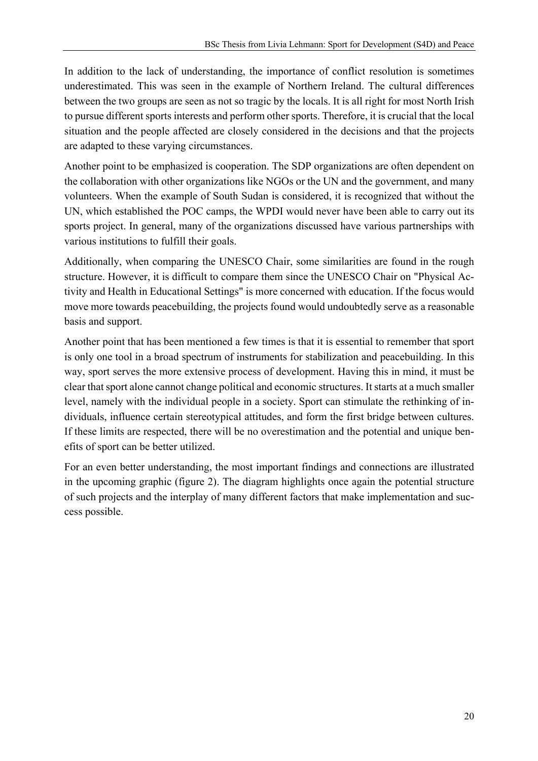In addition to the lack of understanding, the importance of conflict resolution is sometimes underestimated. This was seen in the example of Northern Ireland. The cultural differences between the two groups are seen as not so tragic by the locals. It is all right for most North Irish to pursue different sports interests and perform other sports. Therefore, it is crucial that the local situation and the people affected are closely considered in the decisions and that the projects are adapted to these varying circumstances.

Another point to be emphasized is cooperation. The SDP organizations are often dependent on the collaboration with other organizations like NGOs or the UN and the government, and many volunteers. When the example of South Sudan is considered, it is recognized that without the UN, which established the POC camps, the WPDI would never have been able to carry out its sports project. In general, many of the organizations discussed have various partnerships with various institutions to fulfill their goals.

Additionally, when comparing the UNESCO Chair, some similarities are found in the rough structure. However, it is difficult to compare them since the UNESCO Chair on "Physical Activity and Health in Educational Settings" is more concerned with education. If the focus would move more towards peacebuilding, the projects found would undoubtedly serve as a reasonable basis and support.

Another point that has been mentioned a few times is that it is essential to remember that sport is only one tool in a broad spectrum of instruments for stabilization and peacebuilding. In this way, sport serves the more extensive process of development. Having this in mind, it must be clear that sport alone cannot change political and economic structures. It starts at a much smaller level, namely with the individual people in a society. Sport can stimulate the rethinking of individuals, influence certain stereotypical attitudes, and form the first bridge between cultures. If these limits are respected, there will be no overestimation and the potential and unique benefits of sport can be better utilized.

For an even better understanding, the most important findings and connections are illustrated in the upcoming graphic (figure 2). The diagram highlights once again the potential structure of such projects and the interplay of many different factors that make implementation and success possible.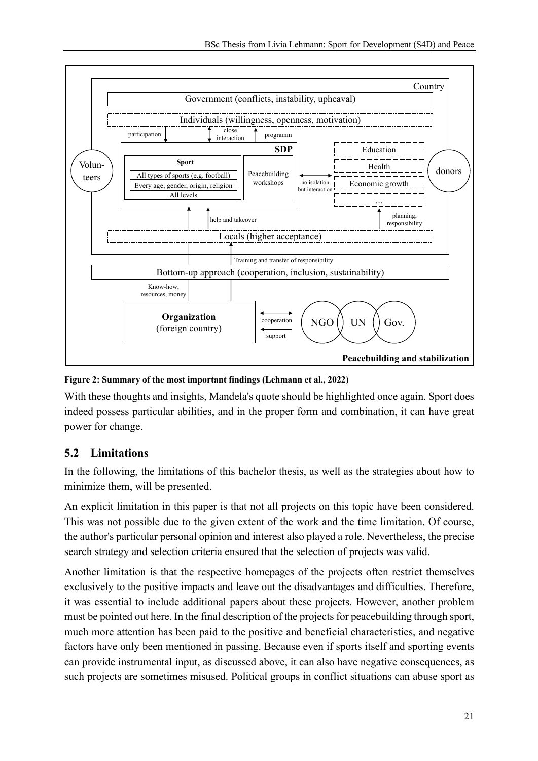

**Figure 2: Summary of the most important findings (Lehmann et al., 2022)**

With these thoughts and insights, Mandela's quote should be highlighted once again. Sport does indeed possess particular abilities, and in the proper form and combination, it can have great power for change.

# **5.2 Limitations**

In the following, the limitations of this bachelor thesis, as well as the strategies about how to minimize them, will be presented.

An explicit limitation in this paper is that not all projects on this topic have been considered. This was not possible due to the given extent of the work and the time limitation. Of course, the author's particular personal opinion and interest also played a role. Nevertheless, the precise search strategy and selection criteria ensured that the selection of projects was valid.

Another limitation is that the respective homepages of the projects often restrict themselves exclusively to the positive impacts and leave out the disadvantages and difficulties. Therefore, it was essential to include additional papers about these projects. However, another problem must be pointed out here. In the final description of the projects for peacebuilding through sport, much more attention has been paid to the positive and beneficial characteristics, and negative factors have only been mentioned in passing. Because even if sports itself and sporting events can provide instrumental input, as discussed above, it can also have negative consequences, as such projects are sometimes misused. Political groups in conflict situations can abuse sport as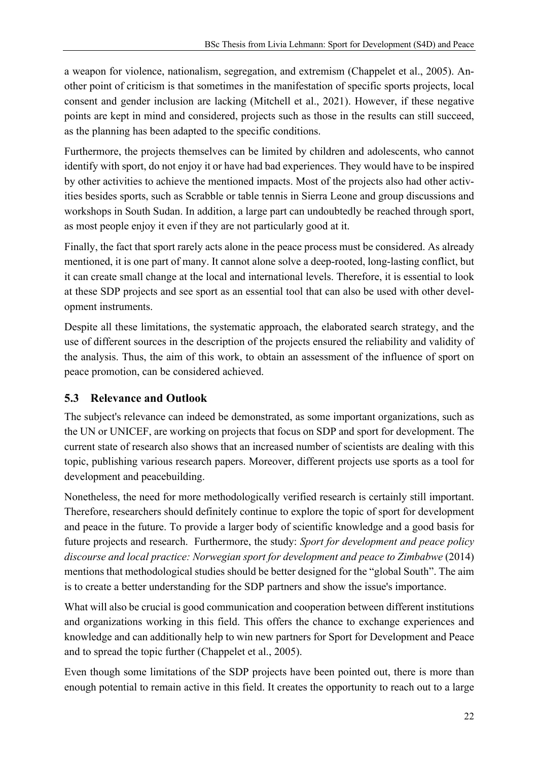a weapon for violence, nationalism, segregation, and extremism (Chappelet et al., 2005). Another point of criticism is that sometimes in the manifestation of specific sports projects, local consent and gender inclusion are lacking (Mitchell et al., 2021). However, if these negative points are kept in mind and considered, projects such as those in the results can still succeed, as the planning has been adapted to the specific conditions.

Furthermore, the projects themselves can be limited by children and adolescents, who cannot identify with sport, do not enjoy it or have had bad experiences. They would have to be inspired by other activities to achieve the mentioned impacts. Most of the projects also had other activities besides sports, such as Scrabble or table tennis in Sierra Leone and group discussions and workshops in South Sudan. In addition, a large part can undoubtedly be reached through sport, as most people enjoy it even if they are not particularly good at it.

Finally, the fact that sport rarely acts alone in the peace process must be considered. As already mentioned, it is one part of many. It cannot alone solve a deep-rooted, long-lasting conflict, but it can create small change at the local and international levels. Therefore, it is essential to look at these SDP projects and see sport as an essential tool that can also be used with other development instruments.

Despite all these limitations, the systematic approach, the elaborated search strategy, and the use of different sources in the description of the projects ensured the reliability and validity of the analysis. Thus, the aim of this work, to obtain an assessment of the influence of sport on peace promotion, can be considered achieved.

# **5.3 Relevance and Outlook**

The subject's relevance can indeed be demonstrated, as some important organizations, such as the UN or UNICEF, are working on projects that focus on SDP and sport for development. The current state of research also shows that an increased number of scientists are dealing with this topic, publishing various research papers. Moreover, different projects use sports as a tool for development and peacebuilding.

Nonetheless, the need for more methodologically verified research is certainly still important. Therefore, researchers should definitely continue to explore the topic of sport for development and peace in the future. To provide a larger body of scientific knowledge and a good basis for future projects and research. Furthermore, the study: *Sport for development and peace policy discourse and local practice: Norwegian sport for development and peace to Zimbabwe* (2014) mentions that methodological studies should be better designed for the "global South". The aim is to create a better understanding for the SDP partners and show the issue's importance.

What will also be crucial is good communication and cooperation between different institutions and organizations working in this field. This offers the chance to exchange experiences and knowledge and can additionally help to win new partners for Sport for Development and Peace and to spread the topic further (Chappelet et al., 2005).

Even though some limitations of the SDP projects have been pointed out, there is more than enough potential to remain active in this field. It creates the opportunity to reach out to a large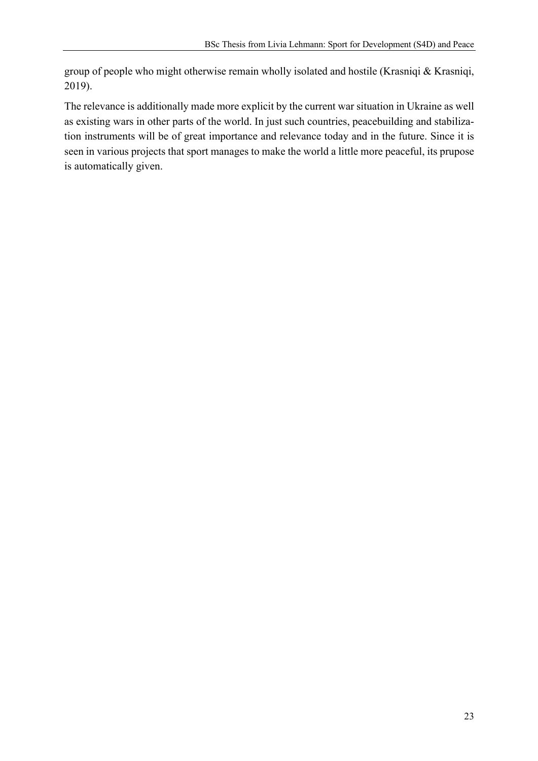group of people who might otherwise remain wholly isolated and hostile (Krasniqi & Krasniqi, 2019).

The relevance is additionally made more explicit by the current war situation in Ukraine as well as existing wars in other parts of the world. In just such countries, peacebuilding and stabilization instruments will be of great importance and relevance today and in the future. Since it is seen in various projects that sport manages to make the world a little more peaceful, its prupose is automatically given.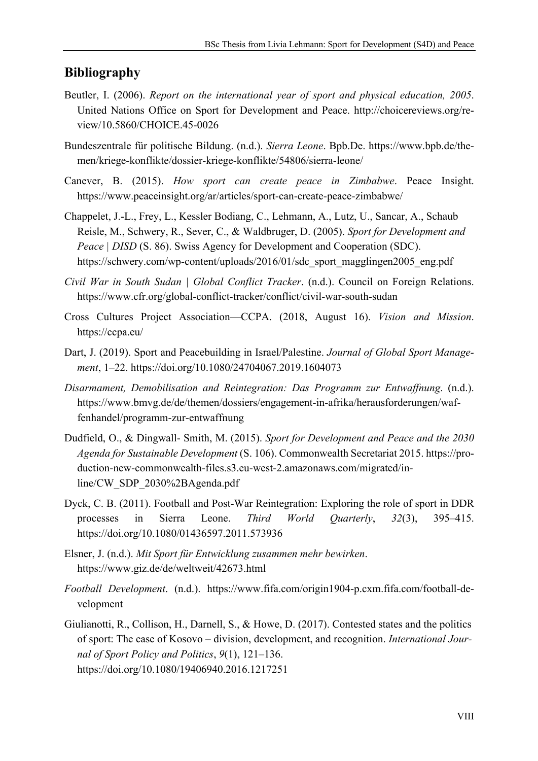### **Bibliography**

- Beutler, I. (2006). *Report on the international year of sport and physical education, 2005*. United Nations Office on Sport for Development and Peace. http://choicereviews.org/review/10.5860/CHOICE.45-0026
- Bundeszentrale für politische Bildung. (n.d.). *Sierra Leone*. Bpb.De. https://www.bpb.de/themen/kriege-konflikte/dossier-kriege-konflikte/54806/sierra-leone/
- Canever, B. (2015). *How sport can create peace in Zimbabwe*. Peace Insight. https://www.peaceinsight.org/ar/articles/sport-can-create-peace-zimbabwe/
- Chappelet, J.-L., Frey, L., Kessler Bodiang, C., Lehmann, A., Lutz, U., Sancar, A., Schaub Reisle, M., Schwery, R., Sever, C., & Waldbruger, D. (2005). *Sport for Development and Peace | DISD* (S. 86). Swiss Agency for Development and Cooperation (SDC). https://schwery.com/wp-content/uploads/2016/01/sdc\_sport\_magglingen2005\_eng.pdf
- *Civil War in South Sudan | Global Conflict Tracker*. (n.d.). Council on Foreign Relations. https://www.cfr.org/global-conflict-tracker/conflict/civil-war-south-sudan
- Cross Cultures Project Association—CCPA. (2018, August 16). *Vision and Mission*. https://ccpa.eu/
- Dart, J. (2019). Sport and Peacebuilding in Israel/Palestine. *Journal of Global Sport Management*, 1–22. https://doi.org/10.1080/24704067.2019.1604073
- *Disarmament, Demobilisation and Reintegration: Das Programm zur Entwaffnung*. (n.d.). https://www.bmvg.de/de/themen/dossiers/engagement-in-afrika/herausforderungen/waffenhandel/programm-zur-entwaffnung
- Dudfield, O., & Dingwall- Smith, M. (2015). *Sport for Development and Peace and the 2030 Agenda for Sustainable Development* (S. 106). Commonwealth Secretariat 2015. https://production-new-commonwealth-files.s3.eu-west-2.amazonaws.com/migrated/inline/CW\_SDP\_2030%2BAgenda.pdf
- Dyck, C. B. (2011). Football and Post-War Reintegration: Exploring the role of sport in DDR processes in Sierra Leone. *Third World Quarterly*, *32*(3), 395–415. https://doi.org/10.1080/01436597.2011.573936
- Elsner, J. (n.d.). *Mit Sport für Entwicklung zusammen mehr bewirken*. https://www.giz.de/de/weltweit/42673.html
- *Football Development*. (n.d.). https://www.fifa.com/origin1904-p.cxm.fifa.com/football-development
- Giulianotti, R., Collison, H., Darnell, S., & Howe, D. (2017). Contested states and the politics of sport: The case of Kosovo – division, development, and recognition. *International Journal of Sport Policy and Politics*, *9*(1), 121–136. https://doi.org/10.1080/19406940.2016.1217251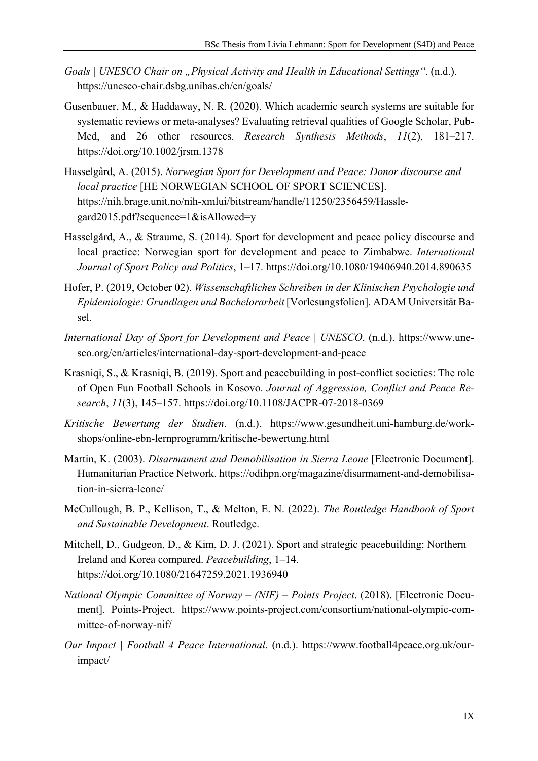- *Goals | UNESCO Chair on "Physical Activity and Health in Educational Settings"*. (n.d.). https://unesco-chair.dsbg.unibas.ch/en/goals/
- Gusenbauer, M., & Haddaway, N. R. (2020). Which academic search systems are suitable for systematic reviews or meta‐analyses? Evaluating retrieval qualities of Google Scholar, Pub-Med, and 26 other resources. *Research Synthesis Methods*, *11*(2), 181–217. https://doi.org/10.1002/jrsm.1378
- Hasselgård, A. (2015). *Norwegian Sport for Development and Peace: Donor discourse and local practice* [HE NORWEGIAN SCHOOL OF SPORT SCIENCES]. https://nih.brage.unit.no/nih-xmlui/bitstream/handle/11250/2356459/Hasslegard2015.pdf?sequence=1&isAllowed=y
- Hasselgård, A., & Straume, S. (2014). Sport for development and peace policy discourse and local practice: Norwegian sport for development and peace to Zimbabwe. *International Journal of Sport Policy and Politics*, 1–17. https://doi.org/10.1080/19406940.2014.890635
- Hofer, P. (2019, October 02). *Wissenschaftliches Schreiben in der Klinischen Psychologie und Epidemiologie: Grundlagen und Bachelorarbeit* [Vorlesungsfolien]. ADAM Universität Basel.
- *International Day of Sport for Development and Peace | UNESCO*. (n.d.). https://www.unesco.org/en/articles/international-day-sport-development-and-peace
- Krasniqi, S., & Krasniqi, B. (2019). Sport and peacebuilding in post-conflict societies: The role of Open Fun Football Schools in Kosovo. *Journal of Aggression, Conflict and Peace Research*, *11*(3), 145–157. https://doi.org/10.1108/JACPR-07-2018-0369
- *Kritische Bewertung der Studien*. (n.d.). https://www.gesundheit.uni-hamburg.de/workshops/online-ebn-lernprogramm/kritische-bewertung.html
- Martin, K. (2003). *Disarmament and Demobilisation in Sierra Leone* [Electronic Document]. Humanitarian Practice Network. https://odihpn.org/magazine/disarmament-and-demobilisation-in-sierra-leone/
- McCullough, B. P., Kellison, T., & Melton, E. N. (2022). *The Routledge Handbook of Sport and Sustainable Development*. Routledge.
- Mitchell, D., Gudgeon, D., & Kim, D. J. (2021). Sport and strategic peacebuilding: Northern Ireland and Korea compared. *Peacebuilding*, 1–14. https://doi.org/10.1080/21647259.2021.1936940
- *National Olympic Committee of Norway – (NIF) – Points Project*. (2018). [Electronic Document]. Points-Project. https://www.points-project.com/consortium/national-olympic-committee-of-norway-nif/
- *Our Impact | Football 4 Peace International*. (n.d.). https://www.football4peace.org.uk/ourimpact/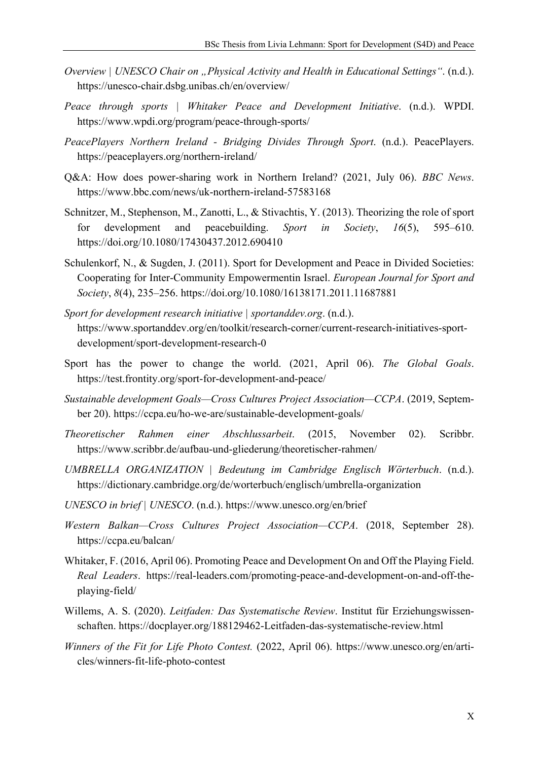- *Overview | UNESCO Chair on "Physical Activity and Health in Educational Settings"*. (n.d.). https://unesco-chair.dsbg.unibas.ch/en/overview/
- *Peace through sports | Whitaker Peace and Development Initiative*. (n.d.). WPDI. https://www.wpdi.org/program/peace-through-sports/
- *PeacePlayers Northern Ireland - Bridging Divides Through Sport*. (n.d.). PeacePlayers. https://peaceplayers.org/northern-ireland/
- Q&A: How does power-sharing work in Northern Ireland? (2021, July 06). *BBC News*. https://www.bbc.com/news/uk-northern-ireland-57583168
- Schnitzer, M., Stephenson, M., Zanotti, L., & Stivachtis, Y. (2013). Theorizing the role of sport for development and peacebuilding. *Sport in Society*, *16*(5), 595–610. https://doi.org/10.1080/17430437.2012.690410
- Schulenkorf, N., & Sugden, J. (2011). Sport for Development and Peace in Divided Societies: Cooperating for Inter-Community Empowermentin Israel. *European Journal for Sport and Society*, *8*(4), 235–256. https://doi.org/10.1080/16138171.2011.11687881
- *Sport for development research initiative | sportanddev.org*. (n.d.). https://www.sportanddev.org/en/toolkit/research-corner/current-research-initiatives-sportdevelopment/sport-development-research-0
- Sport has the power to change the world. (2021, April 06). *The Global Goals*. https://test.frontity.org/sport-for-development-and-peace/
- *Sustainable development Goals—Cross Cultures Project Association—CCPA*. (2019, September 20). https://ccpa.eu/ho-we-are/sustainable-development-goals/
- *Theoretischer Rahmen einer Abschlussarbeit*. (2015, November 02). Scribbr. https://www.scribbr.de/aufbau-und-gliederung/theoretischer-rahmen/
- *UMBRELLA ORGANIZATION | Bedeutung im Cambridge Englisch Wörterbuch*. (n.d.). https://dictionary.cambridge.org/de/worterbuch/englisch/umbrella-organization
- *UNESCO in brief | UNESCO*. (n.d.). https://www.unesco.org/en/brief
- *Western Balkan—Cross Cultures Project Association—CCPA*. (2018, September 28). https://ccpa.eu/balcan/
- Whitaker, F. (2016, April 06). Promoting Peace and Development On and Off the Playing Field. *Real Leaders*. https://real-leaders.com/promoting-peace-and-development-on-and-off-theplaying-field/
- Willems, A. S. (2020). *Leitfaden: Das Systematische Review*. Institut für Erziehungswissenschaften. https://docplayer.org/188129462-Leitfaden-das-systematische-review.html
- *Winners of the Fit for Life Photo Contest.* (2022, April 06). https://www.unesco.org/en/articles/winners-fit-life-photo-contest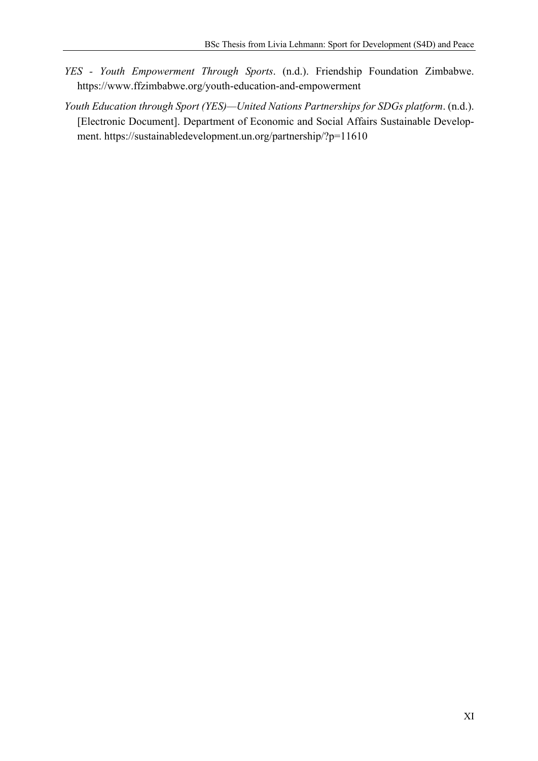- *YES - Youth Empowerment Through Sports*. (n.d.). Friendship Foundation Zimbabwe. https://www.ffzimbabwe.org/youth-education-and-empowerment
- *Youth Education through Sport (YES)—United Nations Partnerships for SDGs platform*. (n.d.). [Electronic Document]. Department of Economic and Social Affairs Sustainable Development. https://sustainabledevelopment.un.org/partnership/?p=11610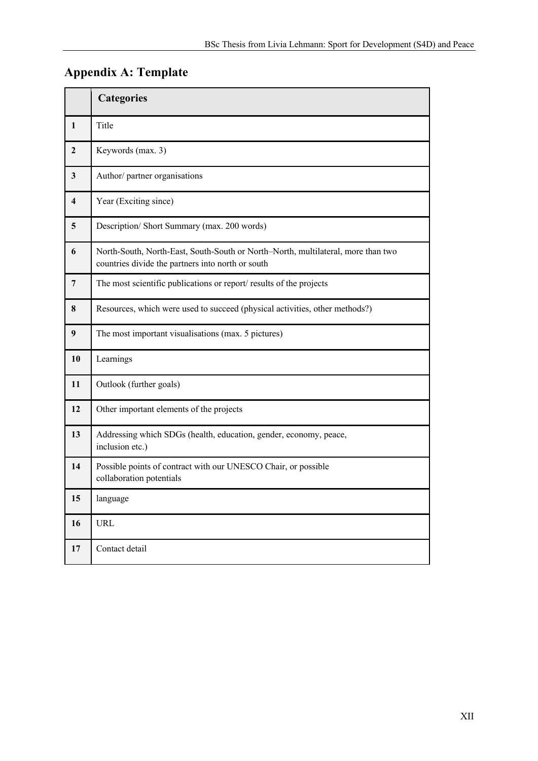# **Appendix A: Template**

|                         | <b>Categories</b>                                                                                                                     |
|-------------------------|---------------------------------------------------------------------------------------------------------------------------------------|
| $\mathbf{1}$            | Title                                                                                                                                 |
| $\mathbf{2}$            | Keywords (max. 3)                                                                                                                     |
| $\mathbf{3}$            | Author/ partner organisations                                                                                                         |
| $\overline{\mathbf{4}}$ | Year (Exciting since)                                                                                                                 |
| 5                       | Description/ Short Summary (max. 200 words)                                                                                           |
| 6                       | North-South, North-East, South-South or North-North, multilateral, more than two<br>countries divide the partners into north or south |
| 7                       | The most scientific publications or report/results of the projects                                                                    |
| 8                       | Resources, which were used to succeed (physical activities, other methods?)                                                           |
| 9                       | The most important visualisations (max. 5 pictures)                                                                                   |
| 10                      | Learnings                                                                                                                             |
| 11                      | Outlook (further goals)                                                                                                               |
| 12                      | Other important elements of the projects                                                                                              |
| 13                      | Addressing which SDGs (health, education, gender, economy, peace,<br>inclusion etc.)                                                  |
| 14                      | Possible points of contract with our UNESCO Chair, or possible<br>collaboration potentials                                            |
| 15                      | language                                                                                                                              |
| 16                      | URL                                                                                                                                   |
| 17                      | Contact detail                                                                                                                        |